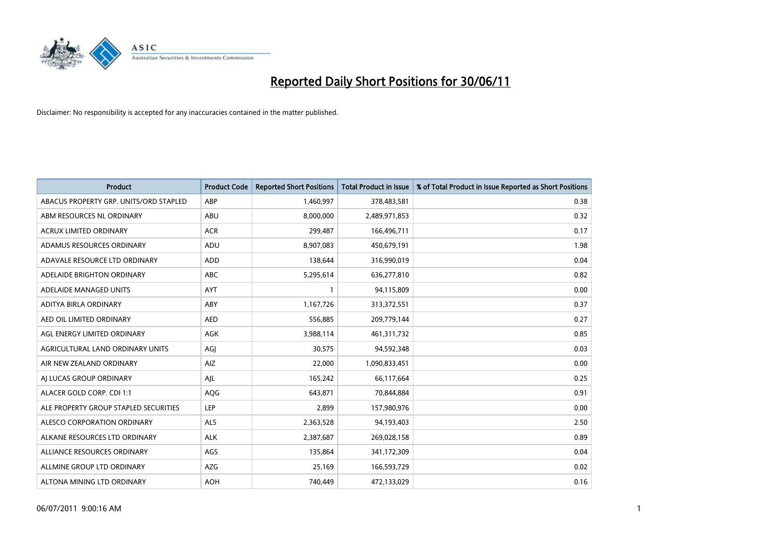

| <b>Product</b>                         | <b>Product Code</b> | <b>Reported Short Positions</b> | <b>Total Product in Issue</b> | % of Total Product in Issue Reported as Short Positions |
|----------------------------------------|---------------------|---------------------------------|-------------------------------|---------------------------------------------------------|
| ABACUS PROPERTY GRP. UNITS/ORD STAPLED | ABP                 | 1,460,997                       | 378,483,581                   | 0.38                                                    |
| ABM RESOURCES NL ORDINARY              | ABU                 | 8,000,000                       | 2,489,971,853                 | 0.32                                                    |
| <b>ACRUX LIMITED ORDINARY</b>          | <b>ACR</b>          | 299,487                         | 166,496,711                   | 0.17                                                    |
| ADAMUS RESOURCES ORDINARY              | ADU                 | 8,907,083                       | 450,679,191                   | 1.98                                                    |
| ADAVALE RESOURCE LTD ORDINARY          | ADD                 | 138,644                         | 316,990,019                   | 0.04                                                    |
| ADELAIDE BRIGHTON ORDINARY             | <b>ABC</b>          | 5,295,614                       | 636,277,810                   | 0.82                                                    |
| ADELAIDE MANAGED UNITS                 | <b>AYT</b>          |                                 | 94,115,809                    | 0.00                                                    |
| ADITYA BIRLA ORDINARY                  | ABY                 | 1,167,726                       | 313,372,551                   | 0.37                                                    |
| AED OIL LIMITED ORDINARY               | <b>AED</b>          | 556,885                         | 209,779,144                   | 0.27                                                    |
| AGL ENERGY LIMITED ORDINARY            | <b>AGK</b>          | 3,988,114                       | 461,311,732                   | 0.85                                                    |
| AGRICULTURAL LAND ORDINARY UNITS       | AGJ                 | 30,575                          | 94,592,348                    | 0.03                                                    |
| AIR NEW ZEALAND ORDINARY               | AIZ                 | 22,000                          | 1,090,833,451                 | 0.00                                                    |
| AI LUCAS GROUP ORDINARY                | AJL                 | 165,242                         | 66,117,664                    | 0.25                                                    |
| ALACER GOLD CORP. CDI 1:1              | AQG                 | 643,871                         | 70,844,884                    | 0.91                                                    |
| ALE PROPERTY GROUP STAPLED SECURITIES  | LEP                 | 2,899                           | 157,980,976                   | 0.00                                                    |
| ALESCO CORPORATION ORDINARY            | ALS                 | 2,363,528                       | 94,193,403                    | 2.50                                                    |
| ALKANE RESOURCES LTD ORDINARY          | <b>ALK</b>          | 2,387,687                       | 269,028,158                   | 0.89                                                    |
| ALLIANCE RESOURCES ORDINARY            | AGS                 | 135,864                         | 341,172,309                   | 0.04                                                    |
| ALLMINE GROUP LTD ORDINARY             | AZG                 | 25,169                          | 166,593,729                   | 0.02                                                    |
| ALTONA MINING LTD ORDINARY             | <b>AOH</b>          | 740.449                         | 472,133,029                   | 0.16                                                    |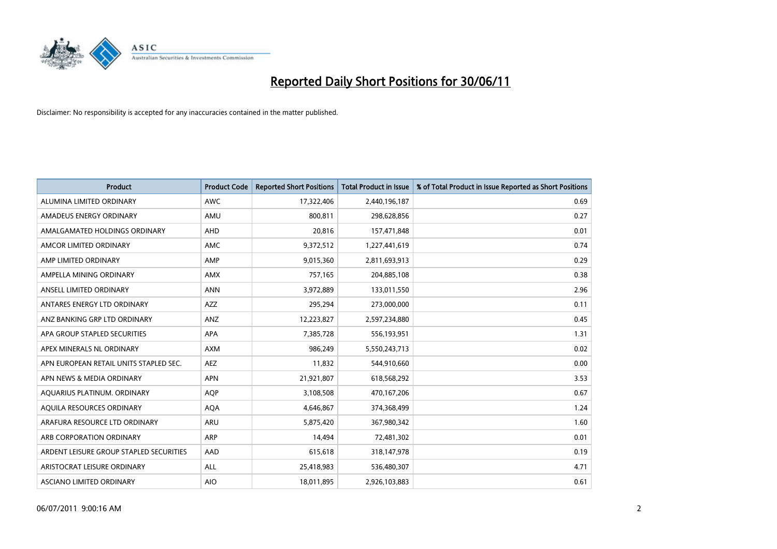

| <b>Product</b>                          | <b>Product Code</b> | <b>Reported Short Positions</b> | <b>Total Product in Issue</b> | % of Total Product in Issue Reported as Short Positions |
|-----------------------------------------|---------------------|---------------------------------|-------------------------------|---------------------------------------------------------|
| ALUMINA LIMITED ORDINARY                | <b>AWC</b>          | 17,322,406                      | 2,440,196,187                 | 0.69                                                    |
| AMADEUS ENERGY ORDINARY                 | AMU                 | 800,811                         | 298,628,856                   | 0.27                                                    |
| AMALGAMATED HOLDINGS ORDINARY           | <b>AHD</b>          | 20,816                          | 157,471,848                   | 0.01                                                    |
| AMCOR LIMITED ORDINARY                  | <b>AMC</b>          | 9,372,512                       | 1,227,441,619                 | 0.74                                                    |
| AMP LIMITED ORDINARY                    | AMP                 | 9,015,360                       | 2,811,693,913                 | 0.29                                                    |
| AMPELLA MINING ORDINARY                 | <b>AMX</b>          | 757,165                         | 204,885,108                   | 0.38                                                    |
| ANSELL LIMITED ORDINARY                 | <b>ANN</b>          | 3,972,889                       | 133,011,550                   | 2.96                                                    |
| ANTARES ENERGY LTD ORDINARY             | <b>AZZ</b>          | 295,294                         | 273,000,000                   | 0.11                                                    |
| ANZ BANKING GRP LTD ORDINARY            | ANZ                 | 12,223,827                      | 2,597,234,880                 | 0.45                                                    |
| APA GROUP STAPLED SECURITIES            | <b>APA</b>          | 7,385,728                       | 556,193,951                   | 1.31                                                    |
| APEX MINERALS NL ORDINARY               | <b>AXM</b>          | 986,249                         | 5,550,243,713                 | 0.02                                                    |
| APN EUROPEAN RETAIL UNITS STAPLED SEC.  | <b>AEZ</b>          | 11,832                          | 544,910,660                   | 0.00                                                    |
| APN NEWS & MEDIA ORDINARY               | <b>APN</b>          | 21,921,807                      | 618,568,292                   | 3.53                                                    |
| AQUARIUS PLATINUM. ORDINARY             | <b>AOP</b>          | 3,108,508                       | 470,167,206                   | 0.67                                                    |
| AQUILA RESOURCES ORDINARY               | <b>AQA</b>          | 4,646,867                       | 374,368,499                   | 1.24                                                    |
| ARAFURA RESOURCE LTD ORDINARY           | ARU                 | 5,875,420                       | 367,980,342                   | 1.60                                                    |
| ARB CORPORATION ORDINARY                | <b>ARP</b>          | 14,494                          | 72,481,302                    | 0.01                                                    |
| ARDENT LEISURE GROUP STAPLED SECURITIES | AAD                 | 615,618                         | 318,147,978                   | 0.19                                                    |
| ARISTOCRAT LEISURE ORDINARY             | <b>ALL</b>          | 25,418,983                      | 536,480,307                   | 4.71                                                    |
| ASCIANO LIMITED ORDINARY                | <b>AIO</b>          | 18,011,895                      | 2,926,103,883                 | 0.61                                                    |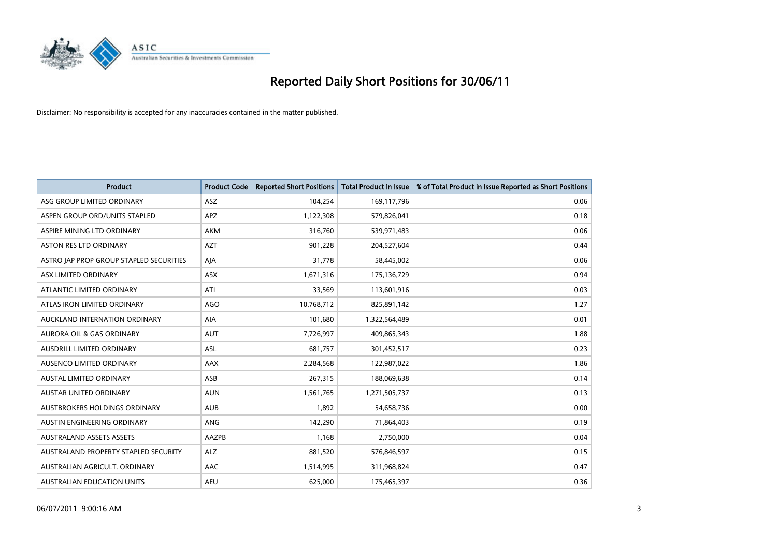

| <b>Product</b>                          | <b>Product Code</b> | <b>Reported Short Positions</b> | <b>Total Product in Issue</b> | % of Total Product in Issue Reported as Short Positions |
|-----------------------------------------|---------------------|---------------------------------|-------------------------------|---------------------------------------------------------|
| ASG GROUP LIMITED ORDINARY              | <b>ASZ</b>          | 104,254                         | 169,117,796                   | 0.06                                                    |
| ASPEN GROUP ORD/UNITS STAPLED           | <b>APZ</b>          | 1,122,308                       | 579,826,041                   | 0.18                                                    |
| ASPIRE MINING LTD ORDINARY              | <b>AKM</b>          | 316,760                         | 539,971,483                   | 0.06                                                    |
| ASTON RES LTD ORDINARY                  | <b>AZT</b>          | 901,228                         | 204,527,604                   | 0.44                                                    |
| ASTRO JAP PROP GROUP STAPLED SECURITIES | AJA                 | 31,778                          | 58,445,002                    | 0.06                                                    |
| ASX LIMITED ORDINARY                    | <b>ASX</b>          | 1,671,316                       | 175,136,729                   | 0.94                                                    |
| ATLANTIC LIMITED ORDINARY               | ATI                 | 33,569                          | 113,601,916                   | 0.03                                                    |
| ATLAS IRON LIMITED ORDINARY             | <b>AGO</b>          | 10,768,712                      | 825,891,142                   | 1.27                                                    |
| AUCKLAND INTERNATION ORDINARY           | AIA                 | 101,680                         | 1,322,564,489                 | 0.01                                                    |
| <b>AURORA OIL &amp; GAS ORDINARY</b>    | <b>AUT</b>          | 7,726,997                       | 409,865,343                   | 1.88                                                    |
| AUSDRILL LIMITED ORDINARY               | ASL                 | 681,757                         | 301,452,517                   | 0.23                                                    |
| AUSENCO LIMITED ORDINARY                | AAX                 | 2,284,568                       | 122,987,022                   | 1.86                                                    |
| AUSTAL LIMITED ORDINARY                 | ASB                 | 267,315                         | 188,069,638                   | 0.14                                                    |
| AUSTAR UNITED ORDINARY                  | <b>AUN</b>          | 1,561,765                       | 1,271,505,737                 | 0.13                                                    |
| AUSTBROKERS HOLDINGS ORDINARY           | <b>AUB</b>          | 1,892                           | 54,658,736                    | 0.00                                                    |
| AUSTIN ENGINEERING ORDINARY             | ANG                 | 142,290                         | 71,864,403                    | 0.19                                                    |
| <b>AUSTRALAND ASSETS ASSETS</b>         | AAZPB               | 1,168                           | 2,750,000                     | 0.04                                                    |
| AUSTRALAND PROPERTY STAPLED SECURITY    | <b>ALZ</b>          | 881,520                         | 576,846,597                   | 0.15                                                    |
| AUSTRALIAN AGRICULT, ORDINARY           | AAC                 | 1,514,995                       | 311,968,824                   | 0.47                                                    |
| AUSTRALIAN EDUCATION UNITS              | <b>AEU</b>          | 625,000                         | 175,465,397                   | 0.36                                                    |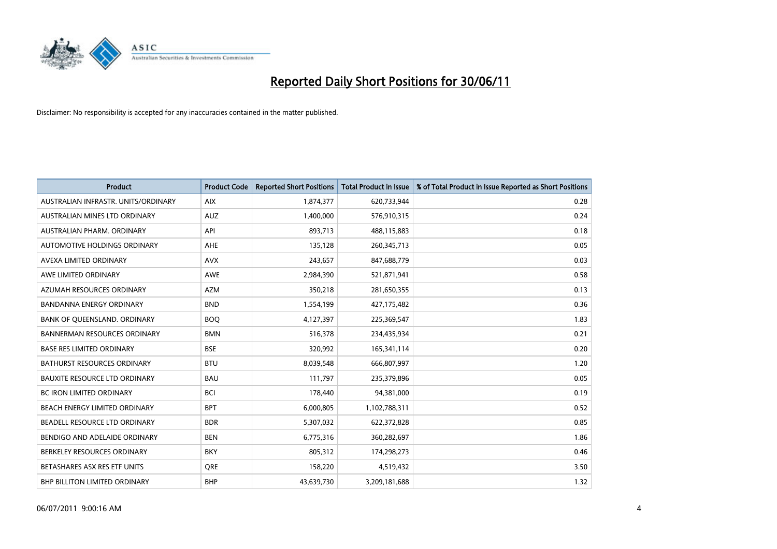

| <b>Product</b>                       | <b>Product Code</b> | <b>Reported Short Positions</b> | <b>Total Product in Issue</b> | % of Total Product in Issue Reported as Short Positions |
|--------------------------------------|---------------------|---------------------------------|-------------------------------|---------------------------------------------------------|
| AUSTRALIAN INFRASTR, UNITS/ORDINARY  | <b>AIX</b>          | 1,874,377                       | 620,733,944                   | 0.28                                                    |
| AUSTRALIAN MINES LTD ORDINARY        | <b>AUZ</b>          | 1,400,000                       | 576,910,315                   | 0.24                                                    |
| AUSTRALIAN PHARM, ORDINARY           | API                 | 893,713                         | 488,115,883                   | 0.18                                                    |
| AUTOMOTIVE HOLDINGS ORDINARY         | <b>AHE</b>          | 135,128                         | 260,345,713                   | 0.05                                                    |
| AVEXA LIMITED ORDINARY               | <b>AVX</b>          | 243,657                         | 847,688,779                   | 0.03                                                    |
| AWE LIMITED ORDINARY                 | <b>AWE</b>          | 2,984,390                       | 521,871,941                   | 0.58                                                    |
| AZUMAH RESOURCES ORDINARY            | <b>AZM</b>          | 350,218                         | 281,650,355                   | 0.13                                                    |
| <b>BANDANNA ENERGY ORDINARY</b>      | <b>BND</b>          | 1,554,199                       | 427,175,482                   | 0.36                                                    |
| BANK OF QUEENSLAND. ORDINARY         | <b>BOO</b>          | 4,127,397                       | 225,369,547                   | 1.83                                                    |
| <b>BANNERMAN RESOURCES ORDINARY</b>  | <b>BMN</b>          | 516,378                         | 234,435,934                   | 0.21                                                    |
| <b>BASE RES LIMITED ORDINARY</b>     | <b>BSE</b>          | 320,992                         | 165,341,114                   | 0.20                                                    |
| <b>BATHURST RESOURCES ORDINARY</b>   | <b>BTU</b>          | 8,039,548                       | 666,807,997                   | 1.20                                                    |
| <b>BAUXITE RESOURCE LTD ORDINARY</b> | <b>BAU</b>          | 111,797                         | 235,379,896                   | 0.05                                                    |
| <b>BC IRON LIMITED ORDINARY</b>      | <b>BCI</b>          | 178,440                         | 94,381,000                    | 0.19                                                    |
| BEACH ENERGY LIMITED ORDINARY        | <b>BPT</b>          | 6,000,805                       | 1,102,788,311                 | 0.52                                                    |
| BEADELL RESOURCE LTD ORDINARY        | <b>BDR</b>          | 5,307,032                       | 622,372,828                   | 0.85                                                    |
| BENDIGO AND ADELAIDE ORDINARY        | <b>BEN</b>          | 6,775,316                       | 360,282,697                   | 1.86                                                    |
| BERKELEY RESOURCES ORDINARY          | <b>BKY</b>          | 805,312                         | 174,298,273                   | 0.46                                                    |
| BETASHARES ASX RES ETF UNITS         | <b>ORE</b>          | 158,220                         | 4,519,432                     | 3.50                                                    |
| BHP BILLITON LIMITED ORDINARY        | <b>BHP</b>          | 43,639,730                      | 3,209,181,688                 | 1.32                                                    |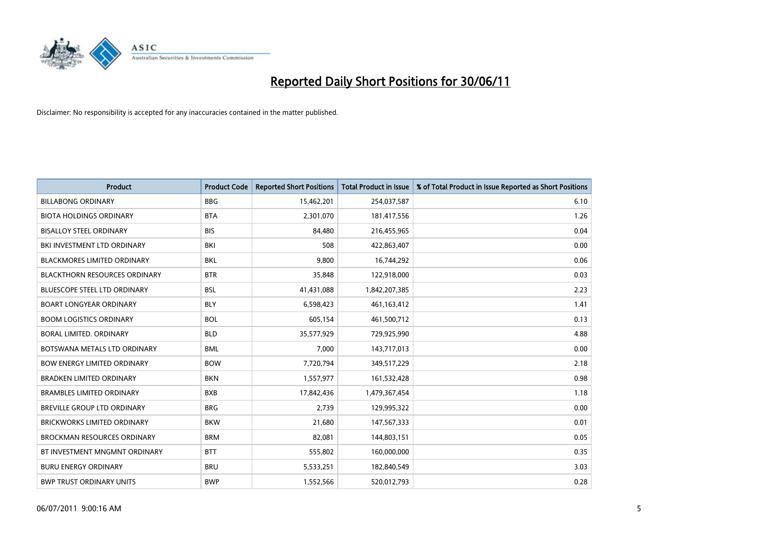

| <b>Product</b>                       | <b>Product Code</b> | <b>Reported Short Positions</b> | <b>Total Product in Issue</b> | % of Total Product in Issue Reported as Short Positions |
|--------------------------------------|---------------------|---------------------------------|-------------------------------|---------------------------------------------------------|
| <b>BILLABONG ORDINARY</b>            | <b>BBG</b>          | 15,462,201                      | 254,037,587                   | 6.10                                                    |
| <b>BIOTA HOLDINGS ORDINARY</b>       | <b>BTA</b>          | 2,301,070                       | 181,417,556                   | 1.26                                                    |
| <b>BISALLOY STEEL ORDINARY</b>       | <b>BIS</b>          | 84,480                          | 216,455,965                   | 0.04                                                    |
| BKI INVESTMENT LTD ORDINARY          | <b>BKI</b>          | 508                             | 422,863,407                   | 0.00                                                    |
| <b>BLACKMORES LIMITED ORDINARY</b>   | <b>BKL</b>          | 9,800                           | 16,744,292                    | 0.06                                                    |
| <b>BLACKTHORN RESOURCES ORDINARY</b> | <b>BTR</b>          | 35,848                          | 122,918,000                   | 0.03                                                    |
| <b>BLUESCOPE STEEL LTD ORDINARY</b>  | <b>BSL</b>          | 41,431,088                      | 1,842,207,385                 | 2.23                                                    |
| <b>BOART LONGYEAR ORDINARY</b>       | <b>BLY</b>          | 6,598,423                       | 461,163,412                   | 1.41                                                    |
| <b>BOOM LOGISTICS ORDINARY</b>       | <b>BOL</b>          | 605,154                         | 461,500,712                   | 0.13                                                    |
| <b>BORAL LIMITED, ORDINARY</b>       | <b>BLD</b>          | 35,577,929                      | 729,925,990                   | 4.88                                                    |
| BOTSWANA METALS LTD ORDINARY         | <b>BML</b>          | 7,000                           | 143,717,013                   | 0.00                                                    |
| <b>BOW ENERGY LIMITED ORDINARY</b>   | <b>BOW</b>          | 7,720,794                       | 349,517,229                   | 2.18                                                    |
| <b>BRADKEN LIMITED ORDINARY</b>      | <b>BKN</b>          | 1,557,977                       | 161,532,428                   | 0.98                                                    |
| <b>BRAMBLES LIMITED ORDINARY</b>     | <b>BXB</b>          | 17,842,436                      | 1,479,367,454                 | 1.18                                                    |
| BREVILLE GROUP LTD ORDINARY          | <b>BRG</b>          | 2,739                           | 129,995,322                   | 0.00                                                    |
| BRICKWORKS LIMITED ORDINARY          | <b>BKW</b>          | 21,680                          | 147,567,333                   | 0.01                                                    |
| <b>BROCKMAN RESOURCES ORDINARY</b>   | <b>BRM</b>          | 82,081                          | 144,803,151                   | 0.05                                                    |
| BT INVESTMENT MNGMNT ORDINARY        | <b>BTT</b>          | 555,802                         | 160,000,000                   | 0.35                                                    |
| <b>BURU ENERGY ORDINARY</b>          | <b>BRU</b>          | 5,533,251                       | 182,840,549                   | 3.03                                                    |
| <b>BWP TRUST ORDINARY UNITS</b>      | <b>BWP</b>          | 1,552,566                       | 520,012,793                   | 0.28                                                    |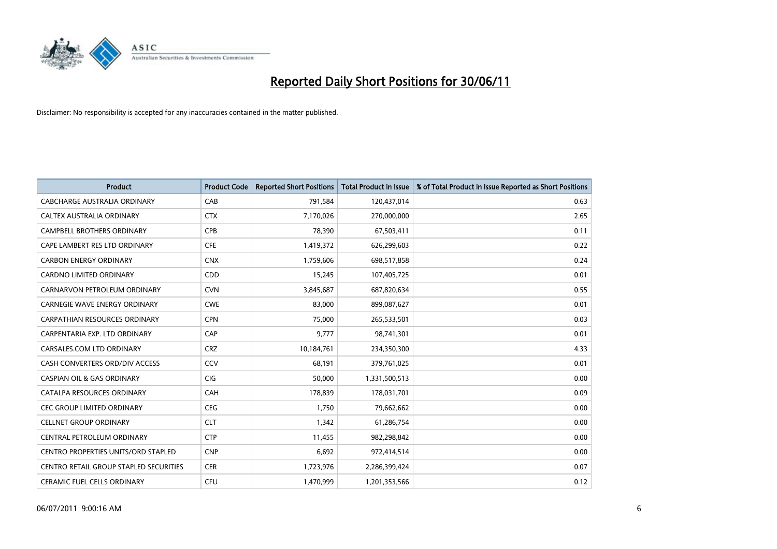

| <b>Product</b>                         | <b>Product Code</b> | <b>Reported Short Positions</b> | <b>Total Product in Issue</b> | % of Total Product in Issue Reported as Short Positions |
|----------------------------------------|---------------------|---------------------------------|-------------------------------|---------------------------------------------------------|
| <b>CABCHARGE AUSTRALIA ORDINARY</b>    | CAB                 | 791,584                         | 120,437,014                   | 0.63                                                    |
| CALTEX AUSTRALIA ORDINARY              | <b>CTX</b>          | 7,170,026                       | 270,000,000                   | 2.65                                                    |
| <b>CAMPBELL BROTHERS ORDINARY</b>      | <b>CPB</b>          | 78,390                          | 67,503,411                    | 0.11                                                    |
| CAPE LAMBERT RES LTD ORDINARY          | <b>CFE</b>          | 1,419,372                       | 626,299,603                   | 0.22                                                    |
| <b>CARBON ENERGY ORDINARY</b>          | <b>CNX</b>          | 1,759,606                       | 698,517,858                   | 0.24                                                    |
| <b>CARDNO LIMITED ORDINARY</b>         | CDD                 | 15,245                          | 107,405,725                   | 0.01                                                    |
| CARNARVON PETROLEUM ORDINARY           | <b>CVN</b>          | 3,845,687                       | 687,820,634                   | 0.55                                                    |
| <b>CARNEGIE WAVE ENERGY ORDINARY</b>   | <b>CWE</b>          | 83,000                          | 899,087,627                   | 0.01                                                    |
| CARPATHIAN RESOURCES ORDINARY          | <b>CPN</b>          | 75,000                          | 265,533,501                   | 0.03                                                    |
| CARPENTARIA EXP. LTD ORDINARY          | CAP                 | 9.777                           | 98,741,301                    | 0.01                                                    |
| CARSALES.COM LTD ORDINARY              | <b>CRZ</b>          | 10,184,761                      | 234,350,300                   | 4.33                                                    |
| CASH CONVERTERS ORD/DIV ACCESS         | CCV                 | 68,191                          | 379,761,025                   | 0.01                                                    |
| <b>CASPIAN OIL &amp; GAS ORDINARY</b>  | CIG                 | 50.000                          | 1,331,500,513                 | 0.00                                                    |
| CATALPA RESOURCES ORDINARY             | <b>CAH</b>          | 178,839                         | 178,031,701                   | 0.09                                                    |
| <b>CEC GROUP LIMITED ORDINARY</b>      | <b>CEG</b>          | 1,750                           | 79,662,662                    | 0.00                                                    |
| <b>CELLNET GROUP ORDINARY</b>          | <b>CLT</b>          | 1.342                           | 61,286,754                    | 0.00                                                    |
| CENTRAL PETROLEUM ORDINARY             | <b>CTP</b>          | 11,455                          | 982,298,842                   | 0.00                                                    |
| CENTRO PROPERTIES UNITS/ORD STAPLED    | <b>CNP</b>          | 6,692                           | 972,414,514                   | 0.00                                                    |
| CENTRO RETAIL GROUP STAPLED SECURITIES | <b>CER</b>          | 1,723,976                       | 2,286,399,424                 | 0.07                                                    |
| <b>CERAMIC FUEL CELLS ORDINARY</b>     | CFU                 | 1.470.999                       | 1,201,353,566                 | 0.12                                                    |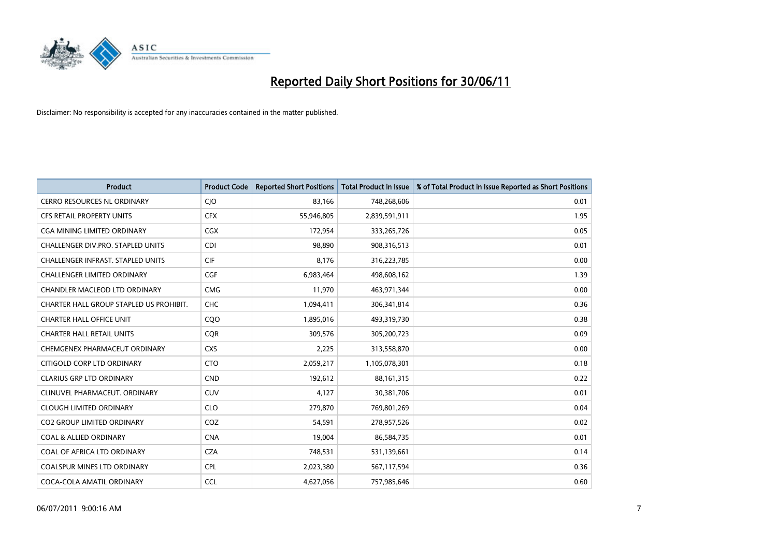

| <b>Product</b>                           | <b>Product Code</b> | <b>Reported Short Positions</b> | <b>Total Product in Issue</b> | % of Total Product in Issue Reported as Short Positions |
|------------------------------------------|---------------------|---------------------------------|-------------------------------|---------------------------------------------------------|
| <b>CERRO RESOURCES NL ORDINARY</b>       | CJO                 | 83,166                          | 748,268,606                   | 0.01                                                    |
| CFS RETAIL PROPERTY UNITS                | <b>CFX</b>          | 55,946,805                      | 2,839,591,911                 | 1.95                                                    |
| <b>CGA MINING LIMITED ORDINARY</b>       | <b>CGX</b>          | 172,954                         | 333,265,726                   | 0.05                                                    |
| <b>CHALLENGER DIV.PRO. STAPLED UNITS</b> | <b>CDI</b>          | 98,890                          | 908,316,513                   | 0.01                                                    |
| <b>CHALLENGER INFRAST, STAPLED UNITS</b> | CIF                 | 8,176                           | 316,223,785                   | 0.00                                                    |
| <b>CHALLENGER LIMITED ORDINARY</b>       | CGF                 | 6,983,464                       | 498,608,162                   | 1.39                                                    |
| CHANDLER MACLEOD LTD ORDINARY            | <b>CMG</b>          | 11,970                          | 463,971,344                   | 0.00                                                    |
| CHARTER HALL GROUP STAPLED US PROHIBIT.  | <b>CHC</b>          | 1,094,411                       | 306,341,814                   | 0.36                                                    |
| <b>CHARTER HALL OFFICE UNIT</b>          | COO                 | 1,895,016                       | 493,319,730                   | 0.38                                                    |
| <b>CHARTER HALL RETAIL UNITS</b>         | <b>COR</b>          | 309,576                         | 305,200,723                   | 0.09                                                    |
| CHEMGENEX PHARMACEUT ORDINARY            | <b>CXS</b>          | 2,225                           | 313,558,870                   | 0.00                                                    |
| CITIGOLD CORP LTD ORDINARY               | <b>CTO</b>          | 2,059,217                       | 1,105,078,301                 | 0.18                                                    |
| <b>CLARIUS GRP LTD ORDINARY</b>          | <b>CND</b>          | 192,612                         | 88,161,315                    | 0.22                                                    |
| CLINUVEL PHARMACEUT, ORDINARY            | <b>CUV</b>          | 4,127                           | 30,381,706                    | 0.01                                                    |
| <b>CLOUGH LIMITED ORDINARY</b>           | <b>CLO</b>          | 279,870                         | 769,801,269                   | 0.04                                                    |
| <b>CO2 GROUP LIMITED ORDINARY</b>        | COZ                 | 54,591                          | 278,957,526                   | 0.02                                                    |
| <b>COAL &amp; ALLIED ORDINARY</b>        | <b>CNA</b>          | 19,004                          | 86,584,735                    | 0.01                                                    |
| COAL OF AFRICA LTD ORDINARY              | <b>CZA</b>          | 748,531                         | 531,139,661                   | 0.14                                                    |
| <b>COALSPUR MINES LTD ORDINARY</b>       | <b>CPL</b>          | 2,023,380                       | 567,117,594                   | 0.36                                                    |
| COCA-COLA AMATIL ORDINARY                | <b>CCL</b>          | 4,627,056                       | 757,985,646                   | 0.60                                                    |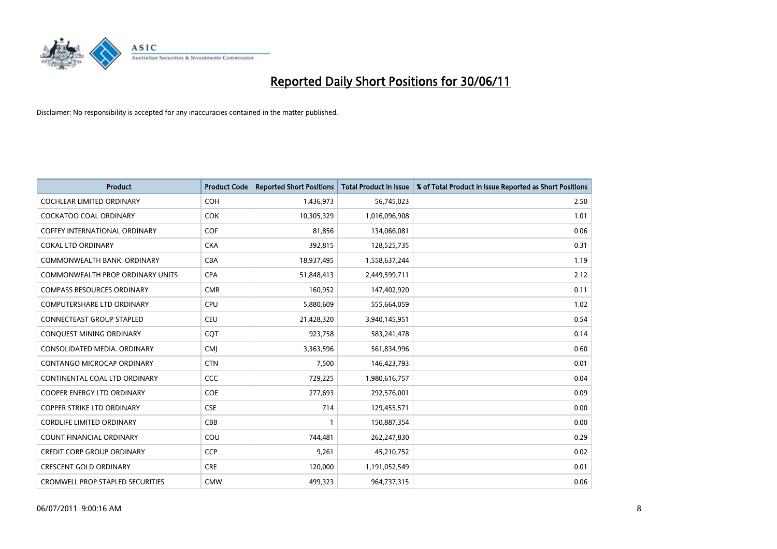

| <b>Product</b>                          | <b>Product Code</b> | <b>Reported Short Positions</b> | <b>Total Product in Issue</b> | % of Total Product in Issue Reported as Short Positions |
|-----------------------------------------|---------------------|---------------------------------|-------------------------------|---------------------------------------------------------|
| <b>COCHLEAR LIMITED ORDINARY</b>        | <b>COH</b>          | 1,436,973                       | 56,745,023                    | 2.50                                                    |
| COCKATOO COAL ORDINARY                  | <b>COK</b>          | 10,305,329                      | 1,016,096,908                 | 1.01                                                    |
| <b>COFFEY INTERNATIONAL ORDINARY</b>    | <b>COF</b>          | 81,856                          | 134,066,081                   | 0.06                                                    |
| <b>COKAL LTD ORDINARY</b>               | <b>CKA</b>          | 392,815                         | 128,525,735                   | 0.31                                                    |
| COMMONWEALTH BANK, ORDINARY             | <b>CBA</b>          | 18,937,495                      | 1,558,637,244                 | 1.19                                                    |
| <b>COMMONWEALTH PROP ORDINARY UNITS</b> | <b>CPA</b>          | 51,848,413                      | 2,449,599,711                 | 2.12                                                    |
| <b>COMPASS RESOURCES ORDINARY</b>       | <b>CMR</b>          | 160,952                         | 147,402,920                   | 0.11                                                    |
| <b>COMPUTERSHARE LTD ORDINARY</b>       | <b>CPU</b>          | 5,880,609                       | 555,664,059                   | 1.02                                                    |
| CONNECTEAST GROUP STAPLED               | <b>CEU</b>          | 21,428,320                      | 3,940,145,951                 | 0.54                                                    |
| CONQUEST MINING ORDINARY                | <b>COT</b>          | 923,758                         | 583,241,478                   | 0.14                                                    |
| CONSOLIDATED MEDIA, ORDINARY            | <b>CMI</b>          | 3,363,596                       | 561,834,996                   | 0.60                                                    |
| CONTANGO MICROCAP ORDINARY              | <b>CTN</b>          | 7,500                           | 146,423,793                   | 0.01                                                    |
| CONTINENTAL COAL LTD ORDINARY           | CCC                 | 729,225                         | 1,980,616,757                 | 0.04                                                    |
| <b>COOPER ENERGY LTD ORDINARY</b>       | COE                 | 277,693                         | 292,576,001                   | 0.09                                                    |
| <b>COPPER STRIKE LTD ORDINARY</b>       | <b>CSE</b>          | 714                             | 129,455,571                   | 0.00                                                    |
| <b>CORDLIFE LIMITED ORDINARY</b>        | CBB                 |                                 | 150,887,354                   | 0.00                                                    |
| <b>COUNT FINANCIAL ORDINARY</b>         | COU                 | 744,481                         | 262,247,830                   | 0.29                                                    |
| <b>CREDIT CORP GROUP ORDINARY</b>       | <b>CCP</b>          | 9,261                           | 45,210,752                    | 0.02                                                    |
| <b>CRESCENT GOLD ORDINARY</b>           | <b>CRE</b>          | 120,000                         | 1,191,052,549                 | 0.01                                                    |
| <b>CROMWELL PROP STAPLED SECURITIES</b> | <b>CMW</b>          | 499,323                         | 964,737,315                   | 0.06                                                    |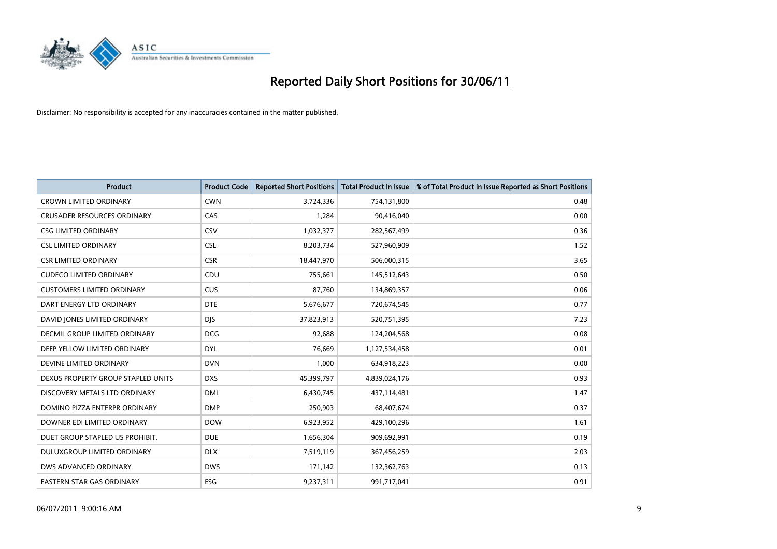

| <b>Product</b>                     | <b>Product Code</b> | <b>Reported Short Positions</b> | Total Product in Issue | % of Total Product in Issue Reported as Short Positions |
|------------------------------------|---------------------|---------------------------------|------------------------|---------------------------------------------------------|
| <b>CROWN LIMITED ORDINARY</b>      | <b>CWN</b>          | 3,724,336                       | 754,131,800            | 0.48                                                    |
| <b>CRUSADER RESOURCES ORDINARY</b> | CAS                 | 1,284                           | 90,416,040             | 0.00                                                    |
| <b>CSG LIMITED ORDINARY</b>        | CSV                 | 1,032,377                       | 282,567,499            | 0.36                                                    |
| <b>CSL LIMITED ORDINARY</b>        | <b>CSL</b>          | 8,203,734                       | 527,960,909            | 1.52                                                    |
| <b>CSR LIMITED ORDINARY</b>        | <b>CSR</b>          | 18,447,970                      | 506,000,315            | 3.65                                                    |
| <b>CUDECO LIMITED ORDINARY</b>     | CDU                 | 755,661                         | 145,512,643            | 0.50                                                    |
| <b>CUSTOMERS LIMITED ORDINARY</b>  | CUS                 | 87,760                          | 134,869,357            | 0.06                                                    |
| DART ENERGY LTD ORDINARY           | <b>DTE</b>          | 5,676,677                       | 720,674,545            | 0.77                                                    |
| DAVID JONES LIMITED ORDINARY       | <b>DIS</b>          | 37,823,913                      | 520,751,395            | 7.23                                                    |
| DECMIL GROUP LIMITED ORDINARY      | <b>DCG</b>          | 92,688                          | 124,204,568            | 0.08                                                    |
| DEEP YELLOW LIMITED ORDINARY       | <b>DYL</b>          | 76,669                          | 1,127,534,458          | 0.01                                                    |
| DEVINE LIMITED ORDINARY            | <b>DVN</b>          | 1,000                           | 634,918,223            | 0.00                                                    |
| DEXUS PROPERTY GROUP STAPLED UNITS | <b>DXS</b>          | 45,399,797                      | 4,839,024,176          | 0.93                                                    |
| DISCOVERY METALS LTD ORDINARY      | <b>DML</b>          | 6,430,745                       | 437,114,481            | 1.47                                                    |
| DOMINO PIZZA ENTERPR ORDINARY      | <b>DMP</b>          | 250,903                         | 68,407,674             | 0.37                                                    |
| DOWNER EDI LIMITED ORDINARY        | <b>DOW</b>          | 6,923,952                       | 429,100,296            | 1.61                                                    |
| DUET GROUP STAPLED US PROHIBIT.    | <b>DUE</b>          | 1,656,304                       | 909,692,991            | 0.19                                                    |
| DULUXGROUP LIMITED ORDINARY        | <b>DLX</b>          | 7,519,119                       | 367,456,259            | 2.03                                                    |
| DWS ADVANCED ORDINARY              | <b>DWS</b>          | 171,142                         | 132,362,763            | 0.13                                                    |
| EASTERN STAR GAS ORDINARY          | <b>ESG</b>          | 9,237,311                       | 991,717,041            | 0.91                                                    |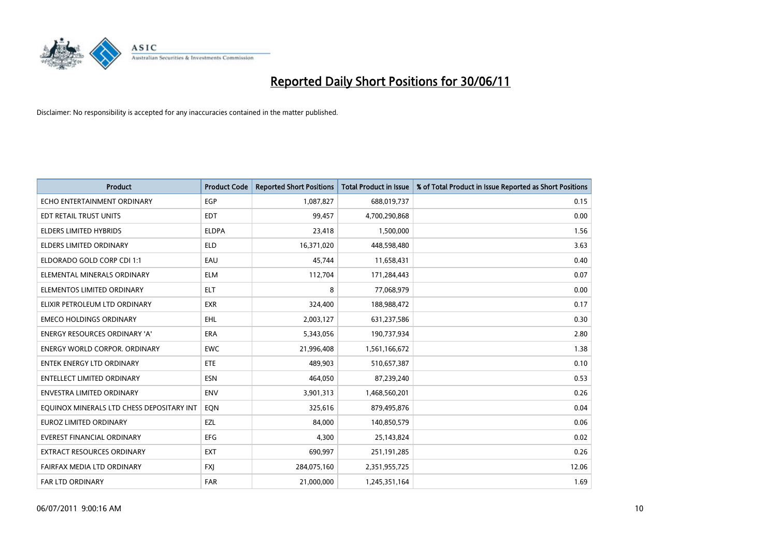

| <b>Product</b>                            | <b>Product Code</b> | <b>Reported Short Positions</b> | <b>Total Product in Issue</b> | % of Total Product in Issue Reported as Short Positions |
|-------------------------------------------|---------------------|---------------------------------|-------------------------------|---------------------------------------------------------|
| ECHO ENTERTAINMENT ORDINARY               | EGP                 | 1,087,827                       | 688,019,737                   | 0.15                                                    |
| EDT RETAIL TRUST UNITS                    | <b>EDT</b>          | 99,457                          | 4,700,290,868                 | 0.00                                                    |
| <b>ELDERS LIMITED HYBRIDS</b>             | <b>ELDPA</b>        | 23,418                          | 1,500,000                     | 1.56                                                    |
| ELDERS LIMITED ORDINARY                   | <b>ELD</b>          | 16,371,020                      | 448,598,480                   | 3.63                                                    |
| ELDORADO GOLD CORP CDI 1:1                | EAU                 | 45,744                          | 11,658,431                    | 0.40                                                    |
| ELEMENTAL MINERALS ORDINARY               | <b>ELM</b>          | 112,704                         | 171,284,443                   | 0.07                                                    |
| ELEMENTOS LIMITED ORDINARY                | <b>ELT</b>          | 8                               | 77,068,979                    | 0.00                                                    |
| ELIXIR PETROLEUM LTD ORDINARY             | <b>EXR</b>          | 324,400                         | 188,988,472                   | 0.17                                                    |
| <b>EMECO HOLDINGS ORDINARY</b>            | <b>EHL</b>          | 2,003,127                       | 631,237,586                   | 0.30                                                    |
| <b>ENERGY RESOURCES ORDINARY 'A'</b>      | <b>ERA</b>          | 5,343,056                       | 190,737,934                   | 2.80                                                    |
| ENERGY WORLD CORPOR. ORDINARY             | <b>EWC</b>          | 21,996,408                      | 1,561,166,672                 | 1.38                                                    |
| <b>ENTEK ENERGY LTD ORDINARY</b>          | <b>ETE</b>          | 489.903                         | 510,657,387                   | 0.10                                                    |
| <b>ENTELLECT LIMITED ORDINARY</b>         | <b>ESN</b>          | 464,050                         | 87,239,240                    | 0.53                                                    |
| <b>ENVESTRA LIMITED ORDINARY</b>          | <b>ENV</b>          | 3,901,313                       | 1,468,560,201                 | 0.26                                                    |
| EQUINOX MINERALS LTD CHESS DEPOSITARY INT | EQN                 | 325,616                         | 879,495,876                   | 0.04                                                    |
| EUROZ LIMITED ORDINARY                    | EZL                 | 84,000                          | 140,850,579                   | 0.06                                                    |
| EVEREST FINANCIAL ORDINARY                | EFG                 | 4,300                           | 25,143,824                    | 0.02                                                    |
| EXTRACT RESOURCES ORDINARY                | <b>EXT</b>          | 690,997                         | 251,191,285                   | 0.26                                                    |
| FAIRFAX MEDIA LTD ORDINARY                | <b>FXI</b>          | 284,075,160                     | 2,351,955,725                 | 12.06                                                   |
| FAR LTD ORDINARY                          | FAR                 | 21,000,000                      | 1,245,351,164                 | 1.69                                                    |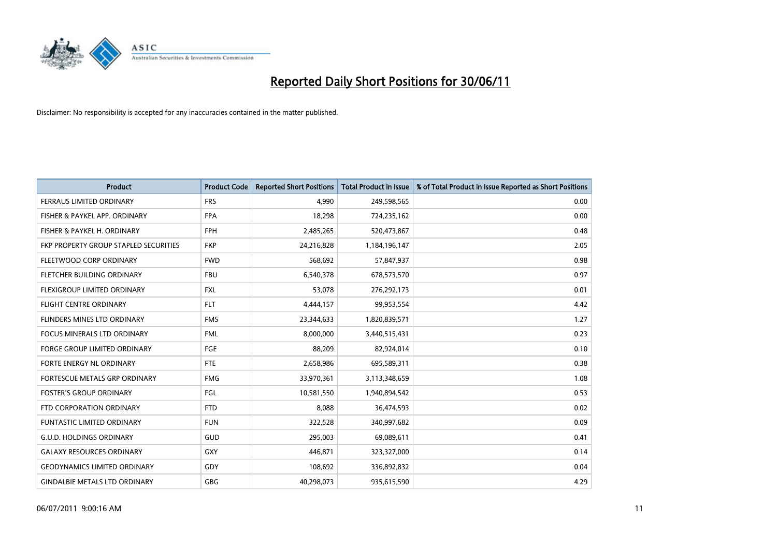

| <b>Product</b>                        | <b>Product Code</b> | <b>Reported Short Positions</b> | <b>Total Product in Issue</b> | % of Total Product in Issue Reported as Short Positions |
|---------------------------------------|---------------------|---------------------------------|-------------------------------|---------------------------------------------------------|
| <b>FERRAUS LIMITED ORDINARY</b>       | <b>FRS</b>          | 4.990                           | 249,598,565                   | 0.00                                                    |
| FISHER & PAYKEL APP. ORDINARY         | <b>FPA</b>          | 18,298                          | 724,235,162                   | 0.00                                                    |
| FISHER & PAYKEL H. ORDINARY           | <b>FPH</b>          | 2,485,265                       | 520,473,867                   | 0.48                                                    |
| FKP PROPERTY GROUP STAPLED SECURITIES | <b>FKP</b>          | 24,216,828                      | 1,184,196,147                 | 2.05                                                    |
| FLEETWOOD CORP ORDINARY               | <b>FWD</b>          | 568,692                         | 57,847,937                    | 0.98                                                    |
| <b>FLETCHER BUILDING ORDINARY</b>     | <b>FBU</b>          | 6,540,378                       | 678,573,570                   | 0.97                                                    |
| <b>FLEXIGROUP LIMITED ORDINARY</b>    | <b>FXL</b>          | 53,078                          | 276,292,173                   | 0.01                                                    |
| <b>FLIGHT CENTRE ORDINARY</b>         | <b>FLT</b>          | 4,444,157                       | 99,953,554                    | 4.42                                                    |
| FLINDERS MINES LTD ORDINARY           | <b>FMS</b>          | 23,344,633                      | 1,820,839,571                 | 1.27                                                    |
| <b>FOCUS MINERALS LTD ORDINARY</b>    | <b>FML</b>          | 8,000,000                       | 3,440,515,431                 | 0.23                                                    |
| <b>FORGE GROUP LIMITED ORDINARY</b>   | <b>FGE</b>          | 88,209                          | 82,924,014                    | 0.10                                                    |
| FORTE ENERGY NL ORDINARY              | FTE                 | 2,658,986                       | 695,589,311                   | 0.38                                                    |
| FORTESCUE METALS GRP ORDINARY         | <b>FMG</b>          | 33,970,361                      | 3,113,348,659                 | 1.08                                                    |
| <b>FOSTER'S GROUP ORDINARY</b>        | FGL                 | 10,581,550                      | 1,940,894,542                 | 0.53                                                    |
| FTD CORPORATION ORDINARY              | <b>FTD</b>          | 8,088                           | 36,474,593                    | 0.02                                                    |
| <b>FUNTASTIC LIMITED ORDINARY</b>     | <b>FUN</b>          | 322,528                         | 340,997,682                   | 0.09                                                    |
| <b>G.U.D. HOLDINGS ORDINARY</b>       | GUD                 | 295,003                         | 69,089,611                    | 0.41                                                    |
| <b>GALAXY RESOURCES ORDINARY</b>      | <b>GXY</b>          | 446,871                         | 323,327,000                   | 0.14                                                    |
| <b>GEODYNAMICS LIMITED ORDINARY</b>   | GDY                 | 108,692                         | 336,892,832                   | 0.04                                                    |
| <b>GINDALBIE METALS LTD ORDINARY</b>  | <b>GBG</b>          | 40,298,073                      | 935,615,590                   | 4.29                                                    |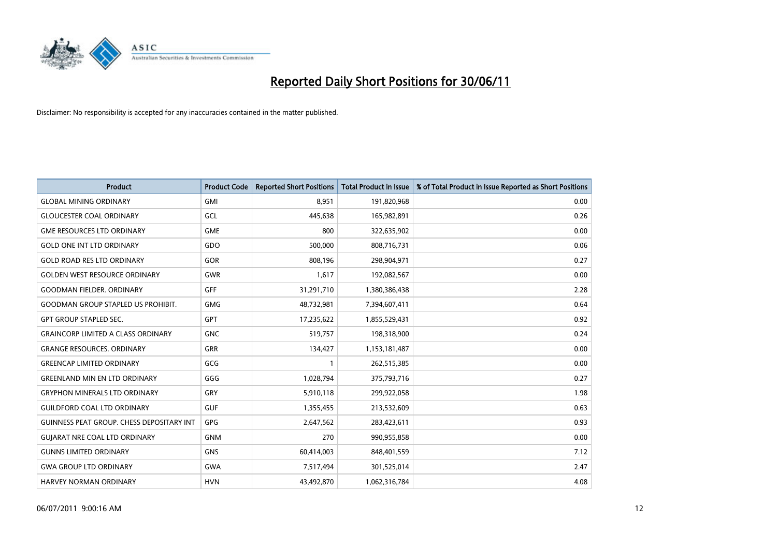

| <b>Product</b>                                   | <b>Product Code</b> | <b>Reported Short Positions</b> | <b>Total Product in Issue</b> | % of Total Product in Issue Reported as Short Positions |
|--------------------------------------------------|---------------------|---------------------------------|-------------------------------|---------------------------------------------------------|
| <b>GLOBAL MINING ORDINARY</b>                    | <b>GMI</b>          | 8,951                           | 191,820,968                   | 0.00                                                    |
| <b>GLOUCESTER COAL ORDINARY</b>                  | GCL                 | 445,638                         | 165,982,891                   | 0.26                                                    |
| <b>GME RESOURCES LTD ORDINARY</b>                | <b>GME</b>          | 800                             | 322,635,902                   | 0.00                                                    |
| <b>GOLD ONE INT LTD ORDINARY</b>                 | GDO                 | 500,000                         | 808,716,731                   | 0.06                                                    |
| <b>GOLD ROAD RES LTD ORDINARY</b>                | <b>GOR</b>          | 808,196                         | 298,904,971                   | 0.27                                                    |
| <b>GOLDEN WEST RESOURCE ORDINARY</b>             | <b>GWR</b>          | 1,617                           | 192,082,567                   | 0.00                                                    |
| <b>GOODMAN FIELDER. ORDINARY</b>                 | <b>GFF</b>          | 31,291,710                      | 1,380,386,438                 | 2.28                                                    |
| <b>GOODMAN GROUP STAPLED US PROHIBIT.</b>        | <b>GMG</b>          | 48,732,981                      | 7,394,607,411                 | 0.64                                                    |
| <b>GPT GROUP STAPLED SEC.</b>                    | GPT                 | 17,235,622                      | 1,855,529,431                 | 0.92                                                    |
| <b>GRAINCORP LIMITED A CLASS ORDINARY</b>        | <b>GNC</b>          | 519,757                         | 198,318,900                   | 0.24                                                    |
| <b>GRANGE RESOURCES. ORDINARY</b>                | <b>GRR</b>          | 134,427                         | 1,153,181,487                 | 0.00                                                    |
| <b>GREENCAP LIMITED ORDINARY</b>                 | GCG                 |                                 | 262,515,385                   | 0.00                                                    |
| <b>GREENLAND MIN EN LTD ORDINARY</b>             | GGG                 | 1,028,794                       | 375,793,716                   | 0.27                                                    |
| <b>GRYPHON MINERALS LTD ORDINARY</b>             | GRY                 | 5,910,118                       | 299,922,058                   | 1.98                                                    |
| <b>GUILDFORD COAL LTD ORDINARY</b>               | <b>GUF</b>          | 1,355,455                       | 213,532,609                   | 0.63                                                    |
| <b>GUINNESS PEAT GROUP. CHESS DEPOSITARY INT</b> | GPG                 | 2,647,562                       | 283,423,611                   | 0.93                                                    |
| <b>GUIARAT NRE COAL LTD ORDINARY</b>             | <b>GNM</b>          | 270                             | 990,955,858                   | 0.00                                                    |
| <b>GUNNS LIMITED ORDINARY</b>                    | <b>GNS</b>          | 60,414,003                      | 848,401,559                   | 7.12                                                    |
| <b>GWA GROUP LTD ORDINARY</b>                    | <b>GWA</b>          | 7,517,494                       | 301,525,014                   | 2.47                                                    |
| <b>HARVEY NORMAN ORDINARY</b>                    | <b>HVN</b>          | 43,492,870                      | 1,062,316,784                 | 4.08                                                    |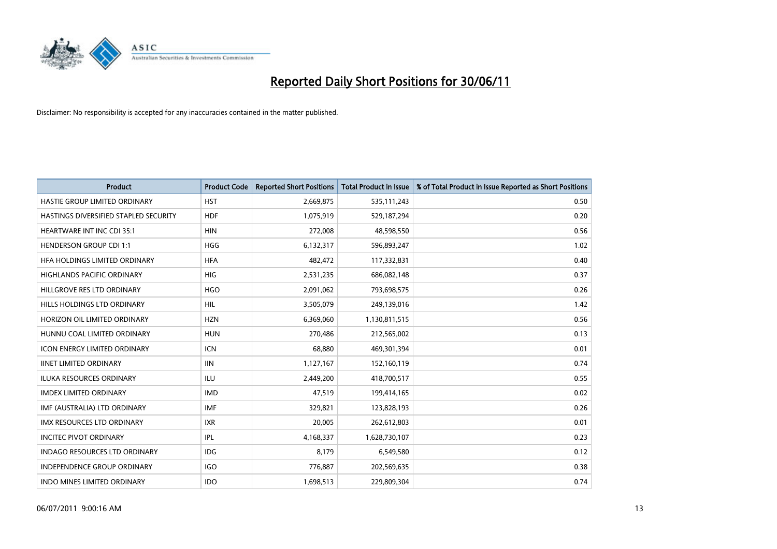

| <b>Product</b>                        | <b>Product Code</b> | <b>Reported Short Positions</b> | <b>Total Product in Issue</b> | % of Total Product in Issue Reported as Short Positions |
|---------------------------------------|---------------------|---------------------------------|-------------------------------|---------------------------------------------------------|
| HASTIE GROUP LIMITED ORDINARY         | <b>HST</b>          | 2,669,875                       | 535,111,243                   | 0.50                                                    |
| HASTINGS DIVERSIFIED STAPLED SECURITY | <b>HDF</b>          | 1,075,919                       | 529,187,294                   | 0.20                                                    |
| <b>HEARTWARE INT INC CDI 35:1</b>     | <b>HIN</b>          | 272,008                         | 48,598,550                    | 0.56                                                    |
| <b>HENDERSON GROUP CDI 1:1</b>        | <b>HGG</b>          | 6,132,317                       | 596,893,247                   | 1.02                                                    |
| HFA HOLDINGS LIMITED ORDINARY         | <b>HFA</b>          | 482,472                         | 117,332,831                   | 0.40                                                    |
| <b>HIGHLANDS PACIFIC ORDINARY</b>     | <b>HIG</b>          | 2,531,235                       | 686,082,148                   | 0.37                                                    |
| HILLGROVE RES LTD ORDINARY            | <b>HGO</b>          | 2,091,062                       | 793,698,575                   | 0.26                                                    |
| HILLS HOLDINGS LTD ORDINARY           | <b>HIL</b>          | 3,505,079                       | 249,139,016                   | 1.42                                                    |
| HORIZON OIL LIMITED ORDINARY          | <b>HZN</b>          | 6,369,060                       | 1,130,811,515                 | 0.56                                                    |
| HUNNU COAL LIMITED ORDINARY           | <b>HUN</b>          | 270,486                         | 212,565,002                   | 0.13                                                    |
| <b>ICON ENERGY LIMITED ORDINARY</b>   | <b>ICN</b>          | 68,880                          | 469,301,394                   | 0.01                                                    |
| <b>IINET LIMITED ORDINARY</b>         | <b>IIN</b>          | 1,127,167                       | 152,160,119                   | 0.74                                                    |
| <b>ILUKA RESOURCES ORDINARY</b>       | <b>ILU</b>          | 2,449,200                       | 418,700,517                   | 0.55                                                    |
| <b>IMDEX LIMITED ORDINARY</b>         | <b>IMD</b>          | 47,519                          | 199,414,165                   | 0.02                                                    |
| IMF (AUSTRALIA) LTD ORDINARY          | IMF                 | 329,821                         | 123,828,193                   | 0.26                                                    |
| <b>IMX RESOURCES LTD ORDINARY</b>     | <b>IXR</b>          | 20,005                          | 262,612,803                   | 0.01                                                    |
| <b>INCITEC PIVOT ORDINARY</b>         | <b>IPL</b>          | 4,168,337                       | 1,628,730,107                 | 0.23                                                    |
| INDAGO RESOURCES LTD ORDINARY         | <b>IDG</b>          | 8,179                           | 6,549,580                     | 0.12                                                    |
| <b>INDEPENDENCE GROUP ORDINARY</b>    | <b>IGO</b>          | 776,887                         | 202,569,635                   | 0.38                                                    |
| INDO MINES LIMITED ORDINARY           | <b>IDO</b>          | 1,698,513                       | 229,809,304                   | 0.74                                                    |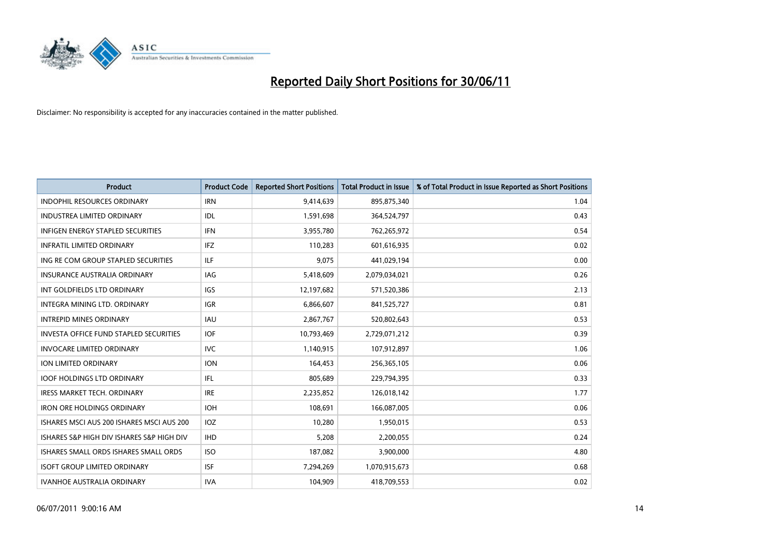

| <b>Product</b>                                | <b>Product Code</b> | <b>Reported Short Positions</b> | Total Product in Issue | % of Total Product in Issue Reported as Short Positions |
|-----------------------------------------------|---------------------|---------------------------------|------------------------|---------------------------------------------------------|
| <b>INDOPHIL RESOURCES ORDINARY</b>            | <b>IRN</b>          | 9,414,639                       | 895,875,340            | 1.04                                                    |
| <b>INDUSTREA LIMITED ORDINARY</b>             | IDL                 | 1,591,698                       | 364,524,797            | 0.43                                                    |
| <b>INFIGEN ENERGY STAPLED SECURITIES</b>      | <b>IFN</b>          | 3,955,780                       | 762,265,972            | 0.54                                                    |
| <b>INFRATIL LIMITED ORDINARY</b>              | <b>IFZ</b>          | 110,283                         | 601,616,935            | 0.02                                                    |
| ING RE COM GROUP STAPLED SECURITIES           | <b>ILF</b>          | 9,075                           | 441,029,194            | 0.00                                                    |
| <b>INSURANCE AUSTRALIA ORDINARY</b>           | <b>IAG</b>          | 5,418,609                       | 2,079,034,021          | 0.26                                                    |
| INT GOLDFIELDS LTD ORDINARY                   | <b>IGS</b>          | 12,197,682                      | 571,520,386            | 2.13                                                    |
| INTEGRA MINING LTD. ORDINARY                  | <b>IGR</b>          | 6,866,607                       | 841,525,727            | 0.81                                                    |
| <b>INTREPID MINES ORDINARY</b>                | <b>IAU</b>          | 2,867,767                       | 520,802,643            | 0.53                                                    |
| <b>INVESTA OFFICE FUND STAPLED SECURITIES</b> | <b>IOF</b>          | 10,793,469                      | 2,729,071,212          | 0.39                                                    |
| <b>INVOCARE LIMITED ORDINARY</b>              | <b>IVC</b>          | 1,140,915                       | 107,912,897            | 1.06                                                    |
| ION LIMITED ORDINARY                          | <b>ION</b>          | 164,453                         | 256,365,105            | 0.06                                                    |
| <b>IOOF HOLDINGS LTD ORDINARY</b>             | <b>IFL</b>          | 805,689                         | 229,794,395            | 0.33                                                    |
| <b>IRESS MARKET TECH. ORDINARY</b>            | <b>IRE</b>          | 2,235,852                       | 126,018,142            | 1.77                                                    |
| <b>IRON ORE HOLDINGS ORDINARY</b>             | <b>IOH</b>          | 108,691                         | 166,087,005            | 0.06                                                    |
| ISHARES MSCI AUS 200 ISHARES MSCI AUS 200     | <b>IOZ</b>          | 10,280                          | 1,950,015              | 0.53                                                    |
| ISHARES S&P HIGH DIV ISHARES S&P HIGH DIV     | <b>IHD</b>          | 5,208                           | 2,200,055              | 0.24                                                    |
| ISHARES SMALL ORDS ISHARES SMALL ORDS         | <b>ISO</b>          | 187,082                         | 3,900,000              | 4.80                                                    |
| <b>ISOFT GROUP LIMITED ORDINARY</b>           | <b>ISF</b>          | 7,294,269                       | 1,070,915,673          | 0.68                                                    |
| <b>IVANHOE AUSTRALIA ORDINARY</b>             | <b>IVA</b>          | 104,909                         | 418,709,553            | 0.02                                                    |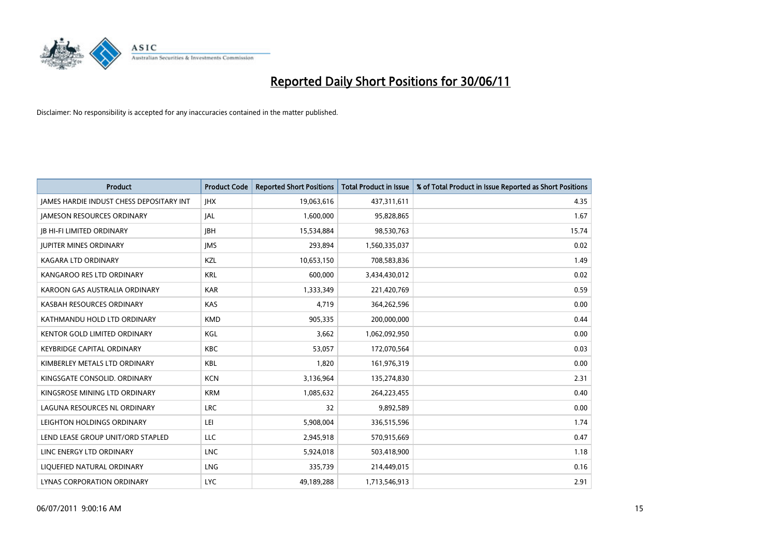

| <b>Product</b>                                  | <b>Product Code</b> | <b>Reported Short Positions</b> | Total Product in Issue | % of Total Product in Issue Reported as Short Positions |
|-------------------------------------------------|---------------------|---------------------------------|------------------------|---------------------------------------------------------|
| <b>JAMES HARDIE INDUST CHESS DEPOSITARY INT</b> | <b>IHX</b>          | 19,063,616                      | 437,311,611            | 4.35                                                    |
| <b>JAMESON RESOURCES ORDINARY</b>               | <b>JAL</b>          | 1,600,000                       | 95,828,865             | 1.67                                                    |
| <b>JB HI-FI LIMITED ORDINARY</b>                | <b>IBH</b>          | 15,534,884                      | 98,530,763             | 15.74                                                   |
| <b>JUPITER MINES ORDINARY</b>                   | <b>IMS</b>          | 293,894                         | 1,560,335,037          | 0.02                                                    |
| <b>KAGARA LTD ORDINARY</b>                      | KZL                 | 10,653,150                      | 708,583,836            | 1.49                                                    |
| KANGAROO RES LTD ORDINARY                       | <b>KRL</b>          | 600,000                         | 3,434,430,012          | 0.02                                                    |
| KAROON GAS AUSTRALIA ORDINARY                   | <b>KAR</b>          | 1,333,349                       | 221,420,769            | 0.59                                                    |
| KASBAH RESOURCES ORDINARY                       | <b>KAS</b>          | 4,719                           | 364,262,596            | 0.00                                                    |
| KATHMANDU HOLD LTD ORDINARY                     | <b>KMD</b>          | 905,335                         | 200,000,000            | 0.44                                                    |
| <b>KENTOR GOLD LIMITED ORDINARY</b>             | KGL                 | 3,662                           | 1,062,092,950          | 0.00                                                    |
| <b>KEYBRIDGE CAPITAL ORDINARY</b>               | <b>KBC</b>          | 53,057                          | 172,070,564            | 0.03                                                    |
| KIMBERLEY METALS LTD ORDINARY                   | KBL                 | 1,820                           | 161,976,319            | 0.00                                                    |
| KINGSGATE CONSOLID. ORDINARY                    | <b>KCN</b>          | 3,136,964                       | 135,274,830            | 2.31                                                    |
| KINGSROSE MINING LTD ORDINARY                   | <b>KRM</b>          | 1,085,632                       | 264,223,455            | 0.40                                                    |
| LAGUNA RESOURCES NL ORDINARY                    | <b>LRC</b>          | 32                              | 9,892,589              | 0.00                                                    |
| LEIGHTON HOLDINGS ORDINARY                      | LEI                 | 5,908,004                       | 336,515,596            | 1.74                                                    |
| LEND LEASE GROUP UNIT/ORD STAPLED               | LLC                 | 2,945,918                       | 570,915,669            | 0.47                                                    |
| LINC ENERGY LTD ORDINARY                        | <b>LNC</b>          | 5,924,018                       | 503,418,900            | 1.18                                                    |
| LIOUEFIED NATURAL ORDINARY                      | <b>LNG</b>          | 335,739                         | 214,449,015            | 0.16                                                    |
| LYNAS CORPORATION ORDINARY                      | <b>LYC</b>          | 49,189,288                      | 1,713,546,913          | 2.91                                                    |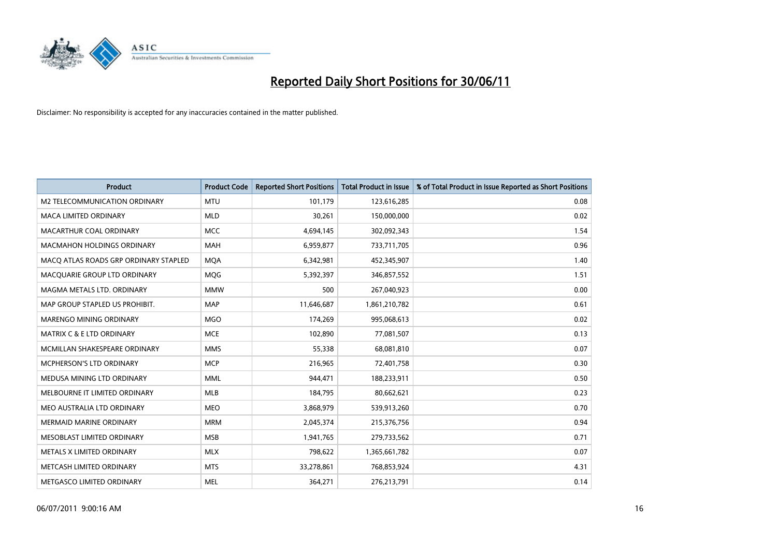

| <b>Product</b>                        | <b>Product Code</b> | <b>Reported Short Positions</b> | <b>Total Product in Issue</b> | % of Total Product in Issue Reported as Short Positions |
|---------------------------------------|---------------------|---------------------------------|-------------------------------|---------------------------------------------------------|
| <b>M2 TELECOMMUNICATION ORDINARY</b>  | <b>MTU</b>          | 101,179                         | 123,616,285                   | 0.08                                                    |
| MACA LIMITED ORDINARY                 | <b>MLD</b>          | 30,261                          | 150,000,000                   | 0.02                                                    |
| MACARTHUR COAL ORDINARY               | <b>MCC</b>          | 4,694,145                       | 302,092,343                   | 1.54                                                    |
| MACMAHON HOLDINGS ORDINARY            | <b>MAH</b>          | 6,959,877                       | 733,711,705                   | 0.96                                                    |
| MACQ ATLAS ROADS GRP ORDINARY STAPLED | <b>MOA</b>          | 6,342,981                       | 452,345,907                   | 1.40                                                    |
| MACQUARIE GROUP LTD ORDINARY          | <b>MQG</b>          | 5,392,397                       | 346,857,552                   | 1.51                                                    |
| MAGMA METALS LTD. ORDINARY            | <b>MMW</b>          | 500                             | 267,040,923                   | 0.00                                                    |
| MAP GROUP STAPLED US PROHIBIT.        | <b>MAP</b>          | 11,646,687                      | 1,861,210,782                 | 0.61                                                    |
| MARENGO MINING ORDINARY               | <b>MGO</b>          | 174,269                         | 995,068,613                   | 0.02                                                    |
| <b>MATRIX C &amp; E LTD ORDINARY</b>  | <b>MCE</b>          | 102,890                         | 77,081,507                    | 0.13                                                    |
| MCMILLAN SHAKESPEARE ORDINARY         | <b>MMS</b>          | 55,338                          | 68,081,810                    | 0.07                                                    |
| MCPHERSON'S LTD ORDINARY              | <b>MCP</b>          | 216,965                         | 72,401,758                    | 0.30                                                    |
| MEDUSA MINING LTD ORDINARY            | <b>MML</b>          | 944,471                         | 188,233,911                   | 0.50                                                    |
| MELBOURNE IT LIMITED ORDINARY         | MLB                 | 184,795                         | 80,662,621                    | 0.23                                                    |
| MEO AUSTRALIA LTD ORDINARY            | <b>MEO</b>          | 3,868,979                       | 539,913,260                   | 0.70                                                    |
| <b>MERMAID MARINE ORDINARY</b>        | <b>MRM</b>          | 2,045,374                       | 215,376,756                   | 0.94                                                    |
| MESOBLAST LIMITED ORDINARY            | <b>MSB</b>          | 1,941,765                       | 279,733,562                   | 0.71                                                    |
| METALS X LIMITED ORDINARY             | <b>MLX</b>          | 798,622                         | 1,365,661,782                 | 0.07                                                    |
| METCASH LIMITED ORDINARY              | <b>MTS</b>          | 33,278,861                      | 768,853,924                   | 4.31                                                    |
| METGASCO LIMITED ORDINARY             | <b>MEL</b>          | 364,271                         | 276,213,791                   | 0.14                                                    |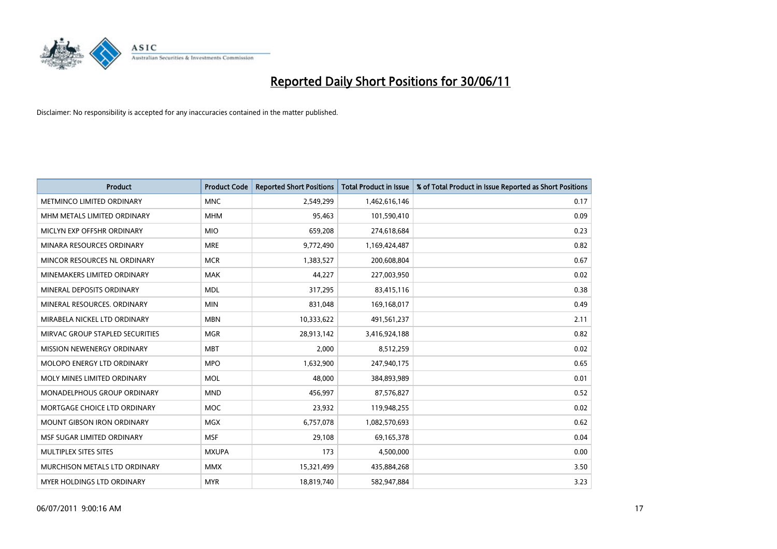

| <b>Product</b>                    | <b>Product Code</b> | <b>Reported Short Positions</b> | <b>Total Product in Issue</b> | % of Total Product in Issue Reported as Short Positions |
|-----------------------------------|---------------------|---------------------------------|-------------------------------|---------------------------------------------------------|
| <b>METMINCO LIMITED ORDINARY</b>  | <b>MNC</b>          | 2,549,299                       | 1,462,616,146                 | 0.17                                                    |
| MHM METALS LIMITED ORDINARY       | <b>MHM</b>          | 95,463                          | 101,590,410                   | 0.09                                                    |
| MICLYN EXP OFFSHR ORDINARY        | <b>MIO</b>          | 659,208                         | 274,618,684                   | 0.23                                                    |
| MINARA RESOURCES ORDINARY         | <b>MRE</b>          | 9,772,490                       | 1,169,424,487                 | 0.82                                                    |
| MINCOR RESOURCES NL ORDINARY      | <b>MCR</b>          | 1,383,527                       | 200,608,804                   | 0.67                                                    |
| MINEMAKERS LIMITED ORDINARY       | <b>MAK</b>          | 44,227                          | 227,003,950                   | 0.02                                                    |
| MINERAL DEPOSITS ORDINARY         | <b>MDL</b>          | 317,295                         | 83,415,116                    | 0.38                                                    |
| MINERAL RESOURCES, ORDINARY       | <b>MIN</b>          | 831,048                         | 169,168,017                   | 0.49                                                    |
| MIRABELA NICKEL LTD ORDINARY      | <b>MBN</b>          | 10,333,622                      | 491,561,237                   | 2.11                                                    |
| MIRVAC GROUP STAPLED SECURITIES   | <b>MGR</b>          | 28,913,142                      | 3,416,924,188                 | 0.82                                                    |
| MISSION NEWENERGY ORDINARY        | <b>MBT</b>          | 2,000                           | 8,512,259                     | 0.02                                                    |
| <b>MOLOPO ENERGY LTD ORDINARY</b> | <b>MPO</b>          | 1,632,900                       | 247,940,175                   | 0.65                                                    |
| MOLY MINES LIMITED ORDINARY       | <b>MOL</b>          | 48,000                          | 384,893,989                   | 0.01                                                    |
| MONADELPHOUS GROUP ORDINARY       | <b>MND</b>          | 456,997                         | 87,576,827                    | 0.52                                                    |
| MORTGAGE CHOICE LTD ORDINARY      | <b>MOC</b>          | 23,932                          | 119,948,255                   | 0.02                                                    |
| MOUNT GIBSON IRON ORDINARY        | <b>MGX</b>          | 6,757,078                       | 1,082,570,693                 | 0.62                                                    |
| MSF SUGAR LIMITED ORDINARY        | <b>MSF</b>          | 29,108                          | 69,165,378                    | 0.04                                                    |
| MULTIPLEX SITES SITES             | <b>MXUPA</b>        | 173                             | 4,500,000                     | 0.00                                                    |
| MURCHISON METALS LTD ORDINARY     | <b>MMX</b>          | 15,321,499                      | 435,884,268                   | 3.50                                                    |
| <b>MYER HOLDINGS LTD ORDINARY</b> | <b>MYR</b>          | 18,819,740                      | 582,947,884                   | 3.23                                                    |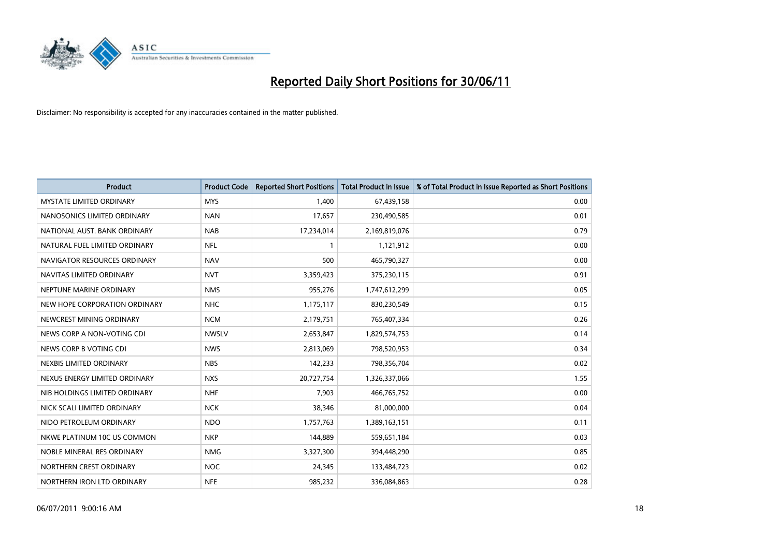

| <b>Product</b>                  | <b>Product Code</b> | <b>Reported Short Positions</b> | Total Product in Issue | % of Total Product in Issue Reported as Short Positions |
|---------------------------------|---------------------|---------------------------------|------------------------|---------------------------------------------------------|
| <b>MYSTATE LIMITED ORDINARY</b> | <b>MYS</b>          | 1.400                           | 67,439,158             | 0.00                                                    |
| NANOSONICS LIMITED ORDINARY     | <b>NAN</b>          | 17,657                          | 230,490,585            | 0.01                                                    |
| NATIONAL AUST. BANK ORDINARY    | <b>NAB</b>          | 17,234,014                      | 2,169,819,076          | 0.79                                                    |
| NATURAL FUEL LIMITED ORDINARY   | <b>NFL</b>          |                                 | 1,121,912              | 0.00                                                    |
| NAVIGATOR RESOURCES ORDINARY    | <b>NAV</b>          | 500                             | 465,790,327            | 0.00                                                    |
| NAVITAS LIMITED ORDINARY        | <b>NVT</b>          | 3,359,423                       | 375,230,115            | 0.91                                                    |
| NEPTUNE MARINE ORDINARY         | <b>NMS</b>          | 955,276                         | 1,747,612,299          | 0.05                                                    |
| NEW HOPE CORPORATION ORDINARY   | <b>NHC</b>          | 1,175,117                       | 830,230,549            | 0.15                                                    |
| NEWCREST MINING ORDINARY        | <b>NCM</b>          | 2,179,751                       | 765,407,334            | 0.26                                                    |
| NEWS CORP A NON-VOTING CDI      | <b>NWSLV</b>        | 2,653,847                       | 1,829,574,753          | 0.14                                                    |
| NEWS CORP B VOTING CDI          | <b>NWS</b>          | 2,813,069                       | 798,520,953            | 0.34                                                    |
| NEXBIS LIMITED ORDINARY         | <b>NBS</b>          | 142,233                         | 798,356,704            | 0.02                                                    |
| NEXUS ENERGY LIMITED ORDINARY   | <b>NXS</b>          | 20,727,754                      | 1,326,337,066          | 1.55                                                    |
| NIB HOLDINGS LIMITED ORDINARY   | <b>NHF</b>          | 7,903                           | 466,765,752            | 0.00                                                    |
| NICK SCALI LIMITED ORDINARY     | <b>NCK</b>          | 38,346                          | 81,000,000             | 0.04                                                    |
| NIDO PETROLEUM ORDINARY         | <b>NDO</b>          | 1,757,763                       | 1,389,163,151          | 0.11                                                    |
| NKWE PLATINUM 10C US COMMON     | <b>NKP</b>          | 144,889                         | 559,651,184            | 0.03                                                    |
| NOBLE MINERAL RES ORDINARY      | <b>NMG</b>          | 3,327,300                       | 394,448,290            | 0.85                                                    |
| NORTHERN CREST ORDINARY         | <b>NOC</b>          | 24,345                          | 133,484,723            | 0.02                                                    |
| NORTHERN IRON LTD ORDINARY      | <b>NFE</b>          | 985,232                         | 336,084,863            | 0.28                                                    |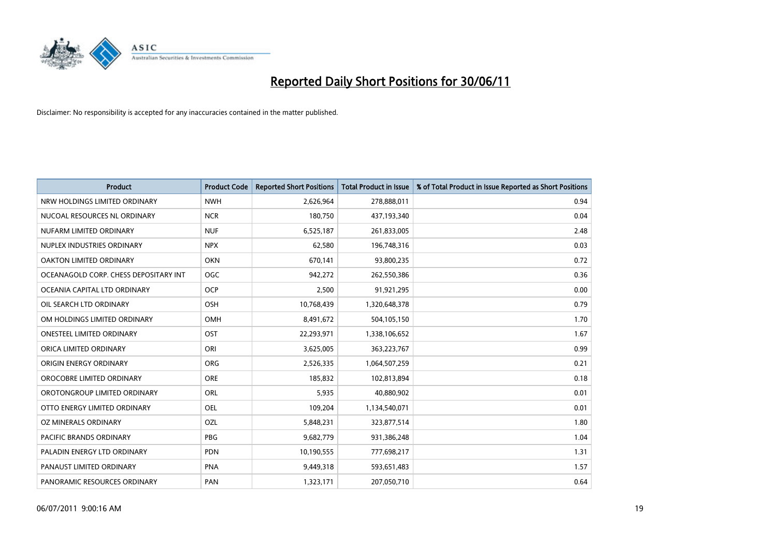

| <b>Product</b>                        | <b>Product Code</b> | <b>Reported Short Positions</b> | <b>Total Product in Issue</b> | % of Total Product in Issue Reported as Short Positions |
|---------------------------------------|---------------------|---------------------------------|-------------------------------|---------------------------------------------------------|
| NRW HOLDINGS LIMITED ORDINARY         | <b>NWH</b>          | 2,626,964                       | 278,888,011                   | 0.94                                                    |
| NUCOAL RESOURCES NL ORDINARY          | <b>NCR</b>          | 180,750                         | 437,193,340                   | 0.04                                                    |
| NUFARM LIMITED ORDINARY               | <b>NUF</b>          | 6,525,187                       | 261,833,005                   | 2.48                                                    |
| NUPLEX INDUSTRIES ORDINARY            | <b>NPX</b>          | 62,580                          | 196,748,316                   | 0.03                                                    |
| <b>OAKTON LIMITED ORDINARY</b>        | <b>OKN</b>          | 670,141                         | 93,800,235                    | 0.72                                                    |
| OCEANAGOLD CORP. CHESS DEPOSITARY INT | <b>OGC</b>          | 942,272                         | 262,550,386                   | 0.36                                                    |
| OCEANIA CAPITAL LTD ORDINARY          | <b>OCP</b>          | 2,500                           | 91,921,295                    | 0.00                                                    |
| OIL SEARCH LTD ORDINARY               | OSH                 | 10,768,439                      | 1,320,648,378                 | 0.79                                                    |
| OM HOLDINGS LIMITED ORDINARY          | <b>OMH</b>          | 8,491,672                       | 504,105,150                   | 1.70                                                    |
| <b>ONESTEEL LIMITED ORDINARY</b>      | OST                 | 22,293,971                      | 1,338,106,652                 | 1.67                                                    |
| ORICA LIMITED ORDINARY                | ORI                 | 3,625,005                       | 363,223,767                   | 0.99                                                    |
| ORIGIN ENERGY ORDINARY                | <b>ORG</b>          | 2,526,335                       | 1,064,507,259                 | 0.21                                                    |
| OROCOBRE LIMITED ORDINARY             | <b>ORE</b>          | 185,832                         | 102,813,894                   | 0.18                                                    |
| OROTONGROUP LIMITED ORDINARY          | ORL                 | 5,935                           | 40,880,902                    | 0.01                                                    |
| OTTO ENERGY LIMITED ORDINARY          | <b>OEL</b>          | 109,204                         | 1,134,540,071                 | 0.01                                                    |
| OZ MINERALS ORDINARY                  | OZL                 | 5,848,231                       | 323,877,514                   | 1.80                                                    |
| PACIFIC BRANDS ORDINARY               | <b>PBG</b>          | 9,682,779                       | 931,386,248                   | 1.04                                                    |
| PALADIN ENERGY LTD ORDINARY           | <b>PDN</b>          | 10,190,555                      | 777,698,217                   | 1.31                                                    |
| PANAUST LIMITED ORDINARY              | <b>PNA</b>          | 9,449,318                       | 593,651,483                   | 1.57                                                    |
| PANORAMIC RESOURCES ORDINARY          | PAN                 | 1,323,171                       | 207,050,710                   | 0.64                                                    |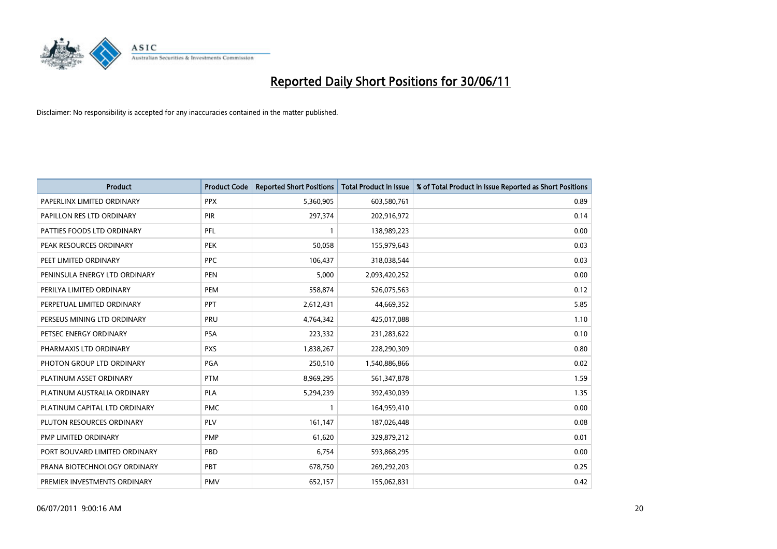

| <b>Product</b>                | <b>Product Code</b> | <b>Reported Short Positions</b> | Total Product in Issue | % of Total Product in Issue Reported as Short Positions |
|-------------------------------|---------------------|---------------------------------|------------------------|---------------------------------------------------------|
| PAPERLINX LIMITED ORDINARY    | <b>PPX</b>          | 5,360,905                       | 603,580,761            | 0.89                                                    |
| PAPILLON RES LTD ORDINARY     | <b>PIR</b>          | 297,374                         | 202,916,972            | 0.14                                                    |
| PATTIES FOODS LTD ORDINARY    | PFL                 |                                 | 138,989,223            | 0.00                                                    |
| PEAK RESOURCES ORDINARY       | <b>PEK</b>          | 50,058                          | 155,979,643            | 0.03                                                    |
| PEET LIMITED ORDINARY         | <b>PPC</b>          | 106,437                         | 318,038,544            | 0.03                                                    |
| PENINSULA ENERGY LTD ORDINARY | <b>PEN</b>          | 5,000                           | 2,093,420,252          | 0.00                                                    |
| PERILYA LIMITED ORDINARY      | <b>PEM</b>          | 558,874                         | 526,075,563            | 0.12                                                    |
| PERPETUAL LIMITED ORDINARY    | PPT                 | 2,612,431                       | 44,669,352             | 5.85                                                    |
| PERSEUS MINING LTD ORDINARY   | PRU                 | 4,764,342                       | 425,017,088            | 1.10                                                    |
| PETSEC ENERGY ORDINARY        | <b>PSA</b>          | 223,332                         | 231,283,622            | 0.10                                                    |
| PHARMAXIS LTD ORDINARY        | <b>PXS</b>          | 1,838,267                       | 228,290,309            | 0.80                                                    |
| PHOTON GROUP LTD ORDINARY     | PGA                 | 250,510                         | 1,540,886,866          | 0.02                                                    |
| PLATINUM ASSET ORDINARY       | <b>PTM</b>          | 8,969,295                       | 561,347,878            | 1.59                                                    |
| PLATINUM AUSTRALIA ORDINARY   | <b>PLA</b>          | 5,294,239                       | 392,430,039            | 1.35                                                    |
| PLATINUM CAPITAL LTD ORDINARY | <b>PMC</b>          |                                 | 164,959,410            | 0.00                                                    |
| PLUTON RESOURCES ORDINARY     | PLV                 | 161,147                         | 187,026,448            | 0.08                                                    |
| PMP LIMITED ORDINARY          | <b>PMP</b>          | 61,620                          | 329,879,212            | 0.01                                                    |
| PORT BOUVARD LIMITED ORDINARY | PBD                 | 6,754                           | 593,868,295            | 0.00                                                    |
| PRANA BIOTECHNOLOGY ORDINARY  | PBT                 | 678,750                         | 269,292,203            | 0.25                                                    |
| PREMIER INVESTMENTS ORDINARY  | <b>PMV</b>          | 652,157                         | 155,062,831            | 0.42                                                    |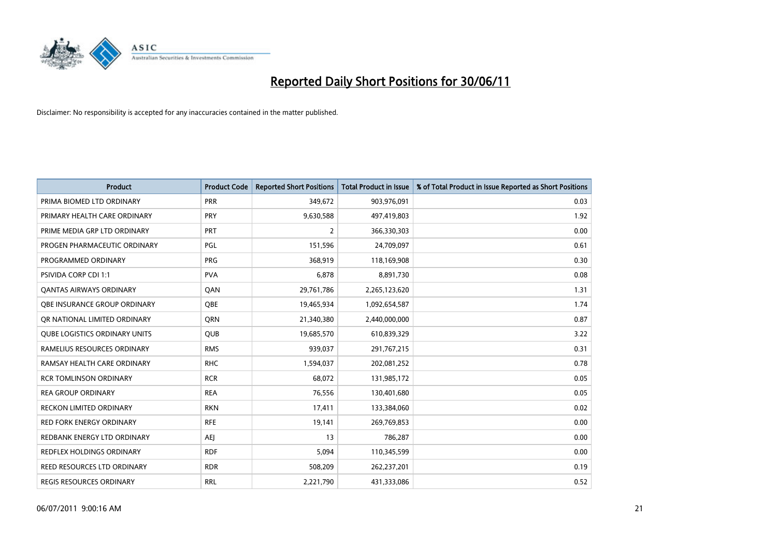

| <b>Product</b>                       | <b>Product Code</b> | <b>Reported Short Positions</b> | <b>Total Product in Issue</b> | % of Total Product in Issue Reported as Short Positions |
|--------------------------------------|---------------------|---------------------------------|-------------------------------|---------------------------------------------------------|
| PRIMA BIOMED LTD ORDINARY            | PRR                 | 349.672                         | 903,976,091                   | 0.03                                                    |
| PRIMARY HEALTH CARE ORDINARY         | <b>PRY</b>          | 9,630,588                       | 497,419,803                   | 1.92                                                    |
| PRIME MEDIA GRP LTD ORDINARY         | PRT                 | $\overline{2}$                  | 366,330,303                   | 0.00                                                    |
| PROGEN PHARMACEUTIC ORDINARY         | <b>PGL</b>          | 151,596                         | 24,709,097                    | 0.61                                                    |
| PROGRAMMED ORDINARY                  | PRG                 | 368,919                         | 118,169,908                   | 0.30                                                    |
| PSIVIDA CORP CDI 1:1                 | <b>PVA</b>          | 6,878                           | 8,891,730                     | 0.08                                                    |
| <b>QANTAS AIRWAYS ORDINARY</b>       | QAN                 | 29,761,786                      | 2,265,123,620                 | 1.31                                                    |
| OBE INSURANCE GROUP ORDINARY         | <b>OBE</b>          | 19,465,934                      | 1,092,654,587                 | 1.74                                                    |
| OR NATIONAL LIMITED ORDINARY         | <b>ORN</b>          | 21,340,380                      | 2,440,000,000                 | 0.87                                                    |
| <b>QUBE LOGISTICS ORDINARY UNITS</b> | <b>QUB</b>          | 19,685,570                      | 610,839,329                   | 3.22                                                    |
| RAMELIUS RESOURCES ORDINARY          | <b>RMS</b>          | 939,037                         | 291,767,215                   | 0.31                                                    |
| RAMSAY HEALTH CARE ORDINARY          | <b>RHC</b>          | 1,594,037                       | 202,081,252                   | 0.78                                                    |
| <b>RCR TOMLINSON ORDINARY</b>        | <b>RCR</b>          | 68.072                          | 131,985,172                   | 0.05                                                    |
| <b>REA GROUP ORDINARY</b>            | <b>REA</b>          | 76,556                          | 130,401,680                   | 0.05                                                    |
| <b>RECKON LIMITED ORDINARY</b>       | <b>RKN</b>          | 17,411                          | 133,384,060                   | 0.02                                                    |
| RED FORK ENERGY ORDINARY             | <b>RFE</b>          | 19,141                          | 269,769,853                   | 0.00                                                    |
| REDBANK ENERGY LTD ORDINARY          | <b>AEJ</b>          | 13                              | 786,287                       | 0.00                                                    |
| REDFLEX HOLDINGS ORDINARY            | <b>RDF</b>          | 5,094                           | 110,345,599                   | 0.00                                                    |
| REED RESOURCES LTD ORDINARY          | <b>RDR</b>          | 508,209                         | 262,237,201                   | 0.19                                                    |
| <b>REGIS RESOURCES ORDINARY</b>      | <b>RRL</b>          | 2,221,790                       | 431,333,086                   | 0.52                                                    |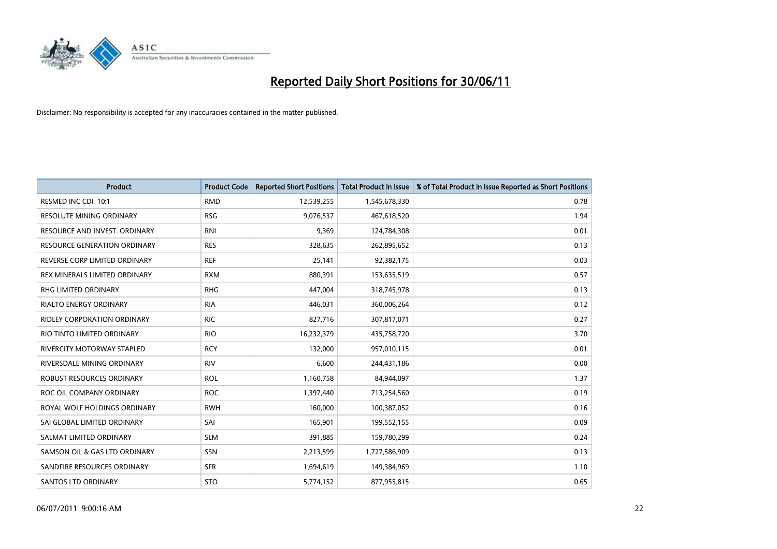

| <b>Product</b>                      | <b>Product Code</b> | <b>Reported Short Positions</b> | <b>Total Product in Issue</b> | % of Total Product in Issue Reported as Short Positions |
|-------------------------------------|---------------------|---------------------------------|-------------------------------|---------------------------------------------------------|
| RESMED INC CDI 10:1                 | <b>RMD</b>          | 12,539,255                      | 1,545,678,330                 | 0.78                                                    |
| RESOLUTE MINING ORDINARY            | <b>RSG</b>          | 9,076,537                       | 467,618,520                   | 1.94                                                    |
| RESOURCE AND INVEST. ORDINARY       | <b>RNI</b>          | 9,369                           | 124,784,308                   | 0.01                                                    |
| <b>RESOURCE GENERATION ORDINARY</b> | <b>RES</b>          | 328,635                         | 262,895,652                   | 0.13                                                    |
| REVERSE CORP LIMITED ORDINARY       | <b>REF</b>          | 25,141                          | 92,382,175                    | 0.03                                                    |
| REX MINERALS LIMITED ORDINARY       | <b>RXM</b>          | 880,391                         | 153,635,519                   | 0.57                                                    |
| <b>RHG LIMITED ORDINARY</b>         | <b>RHG</b>          | 447,004                         | 318,745,978                   | 0.13                                                    |
| RIALTO ENERGY ORDINARY              | <b>RIA</b>          | 446,031                         | 360,006,264                   | 0.12                                                    |
| <b>RIDLEY CORPORATION ORDINARY</b>  | <b>RIC</b>          | 827,716                         | 307,817,071                   | 0.27                                                    |
| RIO TINTO LIMITED ORDINARY          | <b>RIO</b>          | 16,232,379                      | 435,758,720                   | 3.70                                                    |
| RIVERCITY MOTORWAY STAPLED          | <b>RCY</b>          | 132,000                         | 957,010,115                   | 0.01                                                    |
| RIVERSDALE MINING ORDINARY          | <b>RIV</b>          | 6,600                           | 244,431,186                   | 0.00                                                    |
| <b>ROBUST RESOURCES ORDINARY</b>    | <b>ROL</b>          | 1,160,758                       | 84,944,097                    | 1.37                                                    |
| ROC OIL COMPANY ORDINARY            | <b>ROC</b>          | 1,397,440                       | 713,254,560                   | 0.19                                                    |
| ROYAL WOLF HOLDINGS ORDINARY        | <b>RWH</b>          | 160,000                         | 100,387,052                   | 0.16                                                    |
| SAI GLOBAL LIMITED ORDINARY         | SAI                 | 165,901                         | 199,552,155                   | 0.09                                                    |
| SALMAT LIMITED ORDINARY             | <b>SLM</b>          | 391,885                         | 159,780,299                   | 0.24                                                    |
| SAMSON OIL & GAS LTD ORDINARY       | SSN                 | 2,213,599                       | 1,727,586,909                 | 0.13                                                    |
| SANDFIRE RESOURCES ORDINARY         | <b>SFR</b>          | 1,694,619                       | 149,384,969                   | 1.10                                                    |
| <b>SANTOS LTD ORDINARY</b>          | <b>STO</b>          | 5,774,152                       | 877,955,815                   | 0.65                                                    |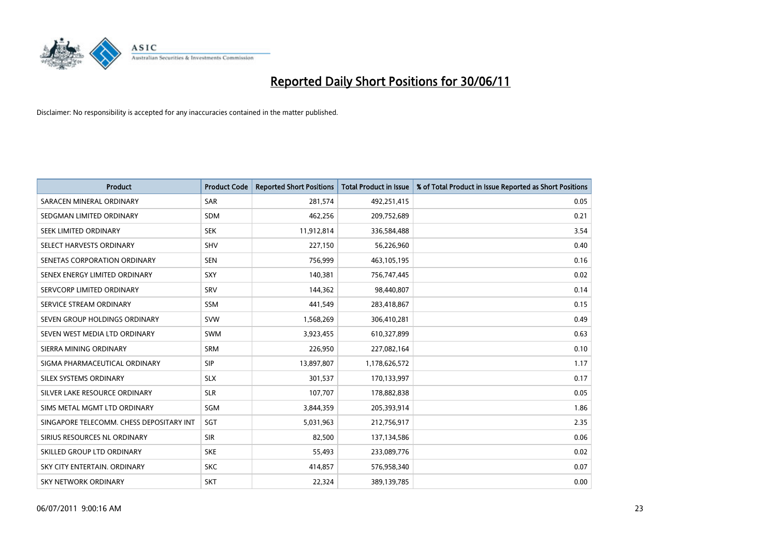

| <b>Product</b>                           | <b>Product Code</b> | <b>Reported Short Positions</b> | <b>Total Product in Issue</b> | % of Total Product in Issue Reported as Short Positions |
|------------------------------------------|---------------------|---------------------------------|-------------------------------|---------------------------------------------------------|
| SARACEN MINERAL ORDINARY                 | <b>SAR</b>          | 281,574                         | 492,251,415                   | 0.05                                                    |
| SEDGMAN LIMITED ORDINARY                 | <b>SDM</b>          | 462,256                         | 209,752,689                   | 0.21                                                    |
| SEEK LIMITED ORDINARY                    | <b>SEK</b>          | 11,912,814                      | 336,584,488                   | 3.54                                                    |
| SELECT HARVESTS ORDINARY                 | SHV                 | 227,150                         | 56,226,960                    | 0.40                                                    |
| SENETAS CORPORATION ORDINARY             | <b>SEN</b>          | 756,999                         | 463,105,195                   | 0.16                                                    |
| SENEX ENERGY LIMITED ORDINARY            | <b>SXY</b>          | 140,381                         | 756,747,445                   | 0.02                                                    |
| SERVCORP LIMITED ORDINARY                | SRV                 | 144,362                         | 98,440,807                    | 0.14                                                    |
| SERVICE STREAM ORDINARY                  | <b>SSM</b>          | 441,549                         | 283,418,867                   | 0.15                                                    |
| SEVEN GROUP HOLDINGS ORDINARY            | <b>SVW</b>          | 1,568,269                       | 306,410,281                   | 0.49                                                    |
| SEVEN WEST MEDIA LTD ORDINARY            | <b>SWM</b>          | 3,923,455                       | 610,327,899                   | 0.63                                                    |
| SIERRA MINING ORDINARY                   | <b>SRM</b>          | 226,950                         | 227,082,164                   | 0.10                                                    |
| SIGMA PHARMACEUTICAL ORDINARY            | <b>SIP</b>          | 13,897,807                      | 1,178,626,572                 | 1.17                                                    |
| SILEX SYSTEMS ORDINARY                   | <b>SLX</b>          | 301,537                         | 170,133,997                   | 0.17                                                    |
| SILVER LAKE RESOURCE ORDINARY            | <b>SLR</b>          | 107,707                         | 178,882,838                   | 0.05                                                    |
| SIMS METAL MGMT LTD ORDINARY             | SGM                 | 3,844,359                       | 205,393,914                   | 1.86                                                    |
| SINGAPORE TELECOMM. CHESS DEPOSITARY INT | SGT                 | 5,031,963                       | 212,756,917                   | 2.35                                                    |
| SIRIUS RESOURCES NL ORDINARY             | <b>SIR</b>          | 82,500                          | 137,134,586                   | 0.06                                                    |
| SKILLED GROUP LTD ORDINARY               | <b>SKE</b>          | 55,493                          | 233,089,776                   | 0.02                                                    |
| SKY CITY ENTERTAIN, ORDINARY             | <b>SKC</b>          | 414,857                         | 576,958,340                   | 0.07                                                    |
| SKY NETWORK ORDINARY                     | <b>SKT</b>          | 22,324                          | 389,139,785                   | 0.00                                                    |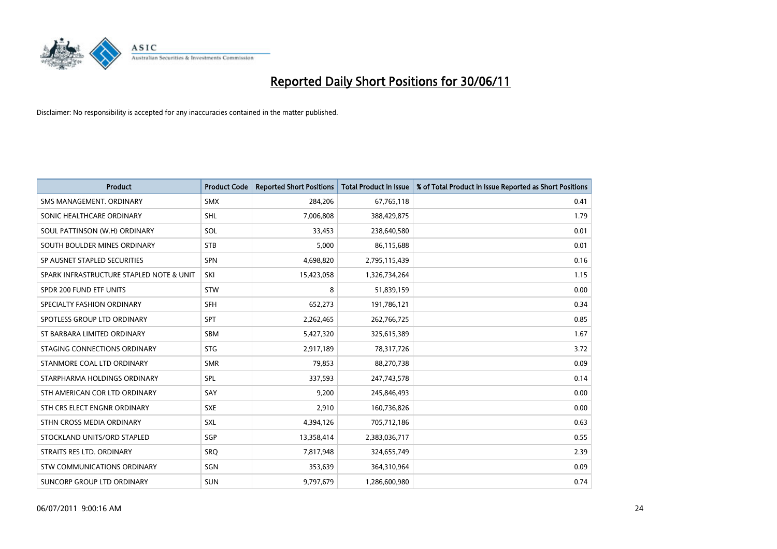

| <b>Product</b>                           | <b>Product Code</b> | <b>Reported Short Positions</b> | <b>Total Product in Issue</b> | % of Total Product in Issue Reported as Short Positions |
|------------------------------------------|---------------------|---------------------------------|-------------------------------|---------------------------------------------------------|
| SMS MANAGEMENT, ORDINARY                 | <b>SMX</b>          | 284,206                         | 67,765,118                    | 0.41                                                    |
| SONIC HEALTHCARE ORDINARY                | <b>SHL</b>          | 7,006,808                       | 388,429,875                   | 1.79                                                    |
| SOUL PATTINSON (W.H) ORDINARY            | SOL                 | 33,453                          | 238,640,580                   | 0.01                                                    |
| SOUTH BOULDER MINES ORDINARY             | <b>STB</b>          | 5,000                           | 86,115,688                    | 0.01                                                    |
| SP AUSNET STAPLED SECURITIES             | <b>SPN</b>          | 4,698,820                       | 2,795,115,439                 | 0.16                                                    |
| SPARK INFRASTRUCTURE STAPLED NOTE & UNIT | SKI                 | 15,423,058                      | 1,326,734,264                 | 1.15                                                    |
| SPDR 200 FUND ETF UNITS                  | <b>STW</b>          | 8                               | 51,839,159                    | 0.00                                                    |
| SPECIALTY FASHION ORDINARY               | <b>SFH</b>          | 652,273                         | 191,786,121                   | 0.34                                                    |
| SPOTLESS GROUP LTD ORDINARY              | <b>SPT</b>          | 2,262,465                       | 262,766,725                   | 0.85                                                    |
| ST BARBARA LIMITED ORDINARY              | SBM                 | 5,427,320                       | 325,615,389                   | 1.67                                                    |
| STAGING CONNECTIONS ORDINARY             | <b>STG</b>          | 2,917,189                       | 78,317,726                    | 3.72                                                    |
| STANMORE COAL LTD ORDINARY               | <b>SMR</b>          | 79,853                          | 88,270,738                    | 0.09                                                    |
| STARPHARMA HOLDINGS ORDINARY             | SPL                 | 337,593                         | 247,743,578                   | 0.14                                                    |
| STH AMERICAN COR LTD ORDINARY            | SAY                 | 9,200                           | 245,846,493                   | 0.00                                                    |
| STH CRS ELECT ENGNR ORDINARY             | <b>SXE</b>          | 2,910                           | 160,736,826                   | 0.00                                                    |
| STHN CROSS MEDIA ORDINARY                | SXL                 | 4,394,126                       | 705,712,186                   | 0.63                                                    |
| STOCKLAND UNITS/ORD STAPLED              | SGP                 | 13,358,414                      | 2,383,036,717                 | 0.55                                                    |
| STRAITS RES LTD. ORDINARY                | SRQ                 | 7,817,948                       | 324,655,749                   | 2.39                                                    |
| <b>STW COMMUNICATIONS ORDINARY</b>       | SGN                 | 353,639                         | 364,310,964                   | 0.09                                                    |
| SUNCORP GROUP LTD ORDINARY               | <b>SUN</b>          | 9,797,679                       | 1,286,600,980                 | 0.74                                                    |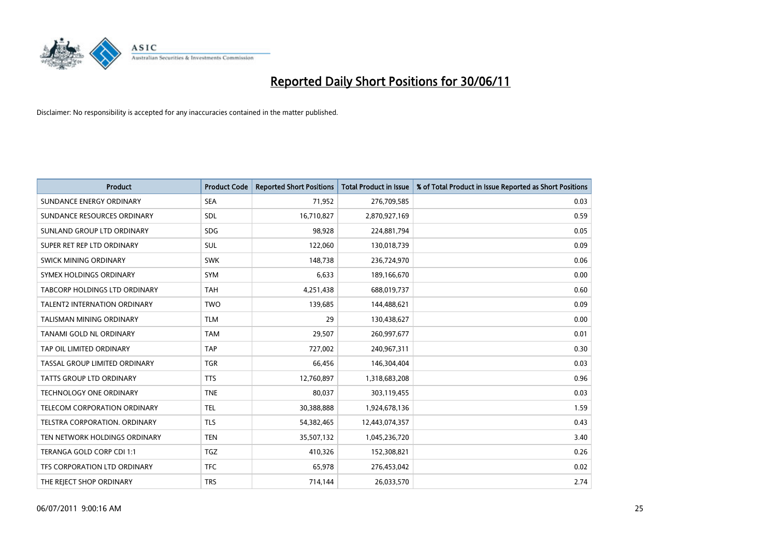

| <b>Product</b>                       | <b>Product Code</b> | <b>Reported Short Positions</b> | <b>Total Product in Issue</b> | % of Total Product in Issue Reported as Short Positions |
|--------------------------------------|---------------------|---------------------------------|-------------------------------|---------------------------------------------------------|
| SUNDANCE ENERGY ORDINARY             | <b>SEA</b>          | 71,952                          | 276,709,585                   | 0.03                                                    |
| SUNDANCE RESOURCES ORDINARY          | <b>SDL</b>          | 16,710,827                      | 2,870,927,169                 | 0.59                                                    |
| SUNLAND GROUP LTD ORDINARY           | <b>SDG</b>          | 98.928                          | 224,881,794                   | 0.05                                                    |
| SUPER RET REP LTD ORDINARY           | <b>SUL</b>          | 122,060                         | 130,018,739                   | 0.09                                                    |
| SWICK MINING ORDINARY                | <b>SWK</b>          | 148,738                         | 236,724,970                   | 0.06                                                    |
| SYMEX HOLDINGS ORDINARY              | SYM                 | 6,633                           | 189,166,670                   | 0.00                                                    |
| <b>TABCORP HOLDINGS LTD ORDINARY</b> | <b>TAH</b>          | 4,251,438                       | 688,019,737                   | 0.60                                                    |
| TALENT2 INTERNATION ORDINARY         | <b>TWO</b>          | 139,685                         | 144,488,621                   | 0.09                                                    |
| <b>TALISMAN MINING ORDINARY</b>      | <b>TLM</b>          | 29                              | 130,438,627                   | 0.00                                                    |
| TANAMI GOLD NL ORDINARY              | <b>TAM</b>          | 29,507                          | 260,997,677                   | 0.01                                                    |
| TAP OIL LIMITED ORDINARY             | <b>TAP</b>          | 727,002                         | 240,967,311                   | 0.30                                                    |
| TASSAL GROUP LIMITED ORDINARY        | <b>TGR</b>          | 66,456                          | 146,304,404                   | 0.03                                                    |
| TATTS GROUP LTD ORDINARY             | <b>TTS</b>          | 12,760,897                      | 1,318,683,208                 | 0.96                                                    |
| TECHNOLOGY ONE ORDINARY              | <b>TNE</b>          | 80,037                          | 303,119,455                   | 0.03                                                    |
| TELECOM CORPORATION ORDINARY         | <b>TEL</b>          | 30,388,888                      | 1,924,678,136                 | 1.59                                                    |
| TELSTRA CORPORATION. ORDINARY        | <b>TLS</b>          | 54,382,465                      | 12,443,074,357                | 0.43                                                    |
| TEN NETWORK HOLDINGS ORDINARY        | <b>TEN</b>          | 35,507,132                      | 1,045,236,720                 | 3.40                                                    |
| TERANGA GOLD CORP CDI 1:1            | <b>TGZ</b>          | 410,326                         | 152,308,821                   | 0.26                                                    |
| TFS CORPORATION LTD ORDINARY         | <b>TFC</b>          | 65,978                          | 276,453,042                   | 0.02                                                    |
| THE REJECT SHOP ORDINARY             | <b>TRS</b>          | 714,144                         | 26,033,570                    | 2.74                                                    |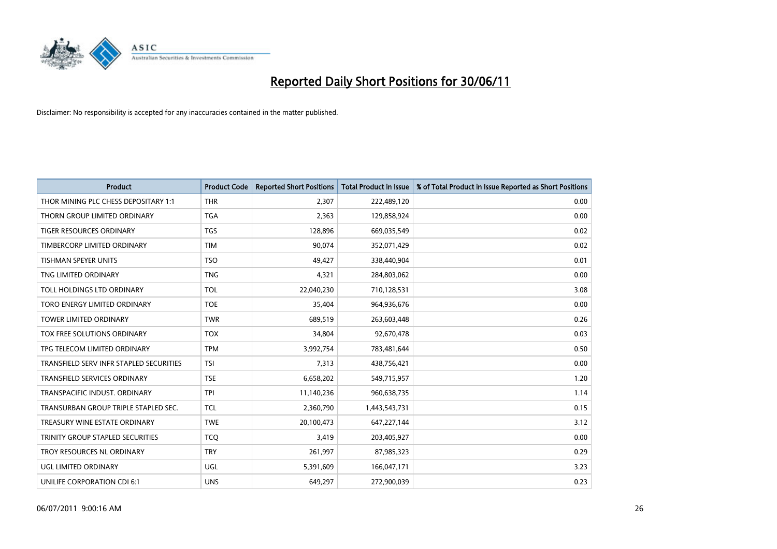

| <b>Product</b>                          | <b>Product Code</b> | <b>Reported Short Positions</b> | <b>Total Product in Issue</b> | % of Total Product in Issue Reported as Short Positions |
|-----------------------------------------|---------------------|---------------------------------|-------------------------------|---------------------------------------------------------|
| THOR MINING PLC CHESS DEPOSITARY 1:1    | <b>THR</b>          | 2,307                           | 222,489,120                   | 0.00                                                    |
| THORN GROUP LIMITED ORDINARY            | <b>TGA</b>          | 2,363                           | 129,858,924                   | 0.00                                                    |
| <b>TIGER RESOURCES ORDINARY</b>         | <b>TGS</b>          | 128,896                         | 669,035,549                   | 0.02                                                    |
| TIMBERCORP LIMITED ORDINARY             | <b>TIM</b>          | 90,074                          | 352,071,429                   | 0.02                                                    |
| <b>TISHMAN SPEYER UNITS</b>             | <b>TSO</b>          | 49,427                          | 338,440,904                   | 0.01                                                    |
| TNG LIMITED ORDINARY                    | <b>TNG</b>          | 4,321                           | 284,803,062                   | 0.00                                                    |
| TOLL HOLDINGS LTD ORDINARY              | <b>TOL</b>          | 22,040,230                      | 710,128,531                   | 3.08                                                    |
| TORO ENERGY LIMITED ORDINARY            | <b>TOE</b>          | 35,404                          | 964,936,676                   | 0.00                                                    |
| <b>TOWER LIMITED ORDINARY</b>           | <b>TWR</b>          | 689,519                         | 263,603,448                   | 0.26                                                    |
| TOX FREE SOLUTIONS ORDINARY             | <b>TOX</b>          | 34,804                          | 92,670,478                    | 0.03                                                    |
| TPG TELECOM LIMITED ORDINARY            | <b>TPM</b>          | 3,992,754                       | 783,481,644                   | 0.50                                                    |
| TRANSFIELD SERV INFR STAPLED SECURITIES | <b>TSI</b>          | 7,313                           | 438,756,421                   | 0.00                                                    |
| TRANSFIELD SERVICES ORDINARY            | <b>TSE</b>          | 6,658,202                       | 549,715,957                   | 1.20                                                    |
| <b>TRANSPACIFIC INDUST, ORDINARY</b>    | <b>TPI</b>          | 11,140,236                      | 960,638,735                   | 1.14                                                    |
| TRANSURBAN GROUP TRIPLE STAPLED SEC.    | <b>TCL</b>          | 2,360,790                       | 1,443,543,731                 | 0.15                                                    |
| TREASURY WINE ESTATE ORDINARY           | <b>TWE</b>          | 20,100,473                      | 647,227,144                   | 3.12                                                    |
| TRINITY GROUP STAPLED SECURITIES        | <b>TCO</b>          | 3,419                           | 203,405,927                   | 0.00                                                    |
| TROY RESOURCES NL ORDINARY              | <b>TRY</b>          | 261,997                         | 87,985,323                    | 0.29                                                    |
| UGL LIMITED ORDINARY                    | UGL                 | 5,391,609                       | 166,047,171                   | 3.23                                                    |
| UNILIFE CORPORATION CDI 6:1             | <b>UNS</b>          | 649,297                         | 272,900,039                   | 0.23                                                    |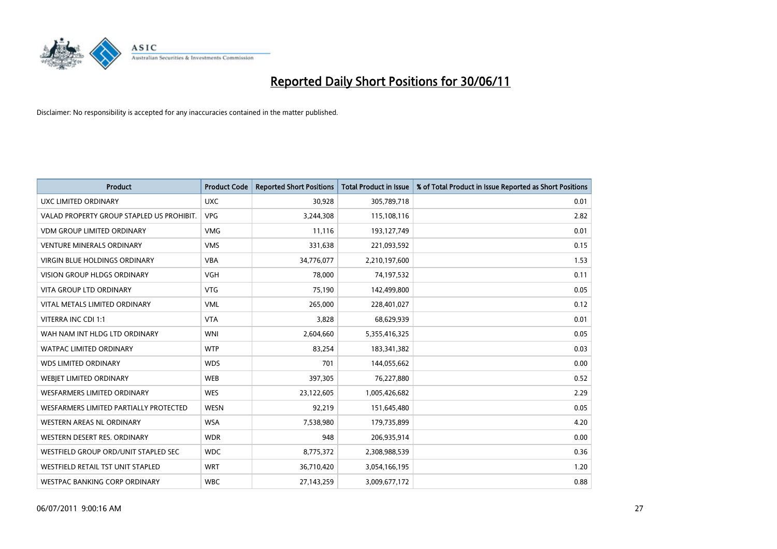

| <b>Product</b>                            | <b>Product Code</b> | <b>Reported Short Positions</b> | <b>Total Product in Issue</b> | % of Total Product in Issue Reported as Short Positions |
|-------------------------------------------|---------------------|---------------------------------|-------------------------------|---------------------------------------------------------|
| <b>UXC LIMITED ORDINARY</b>               | <b>UXC</b>          | 30,928                          | 305,789,718                   | 0.01                                                    |
| VALAD PROPERTY GROUP STAPLED US PROHIBIT. | <b>VPG</b>          | 3,244,308                       | 115,108,116                   | 2.82                                                    |
| <b>VDM GROUP LIMITED ORDINARY</b>         | <b>VMG</b>          | 11,116                          | 193,127,749                   | 0.01                                                    |
| <b>VENTURE MINERALS ORDINARY</b>          | <b>VMS</b>          | 331,638                         | 221,093,592                   | 0.15                                                    |
| VIRGIN BLUE HOLDINGS ORDINARY             | <b>VBA</b>          | 34,776,077                      | 2,210,197,600                 | 1.53                                                    |
| <b>VISION GROUP HLDGS ORDINARY</b>        | <b>VGH</b>          | 78.000                          | 74,197,532                    | 0.11                                                    |
| <b>VITA GROUP LTD ORDINARY</b>            | <b>VTG</b>          | 75,190                          | 142,499,800                   | 0.05                                                    |
| VITAL METALS LIMITED ORDINARY             | <b>VML</b>          | 265,000                         | 228,401,027                   | 0.12                                                    |
| VITERRA INC CDI 1:1                       | <b>VTA</b>          | 3,828                           | 68,629,939                    | 0.01                                                    |
| WAH NAM INT HLDG LTD ORDINARY             | <b>WNI</b>          | 2,604,660                       | 5,355,416,325                 | 0.05                                                    |
| <b>WATPAC LIMITED ORDINARY</b>            | <b>WTP</b>          | 83,254                          | 183,341,382                   | 0.03                                                    |
| <b>WDS LIMITED ORDINARY</b>               | <b>WDS</b>          | 701                             | 144,055,662                   | 0.00                                                    |
| WEBJET LIMITED ORDINARY                   | <b>WEB</b>          | 397,305                         | 76,227,880                    | 0.52                                                    |
| <b>WESFARMERS LIMITED ORDINARY</b>        | <b>WES</b>          | 23,122,605                      | 1,005,426,682                 | 2.29                                                    |
| WESFARMERS LIMITED PARTIALLY PROTECTED    | <b>WESN</b>         | 92,219                          | 151,645,480                   | 0.05                                                    |
| WESTERN AREAS NL ORDINARY                 | <b>WSA</b>          | 7,538,980                       | 179,735,899                   | 4.20                                                    |
| WESTERN DESERT RES. ORDINARY              | <b>WDR</b>          | 948                             | 206,935,914                   | 0.00                                                    |
| WESTFIELD GROUP ORD/UNIT STAPLED SEC      | <b>WDC</b>          | 8,775,372                       | 2,308,988,539                 | 0.36                                                    |
| WESTFIELD RETAIL TST UNIT STAPLED         | <b>WRT</b>          | 36,710,420                      | 3,054,166,195                 | 1.20                                                    |
| WESTPAC BANKING CORP ORDINARY             | <b>WBC</b>          | 27,143,259                      | 3,009,677,172                 | 0.88                                                    |